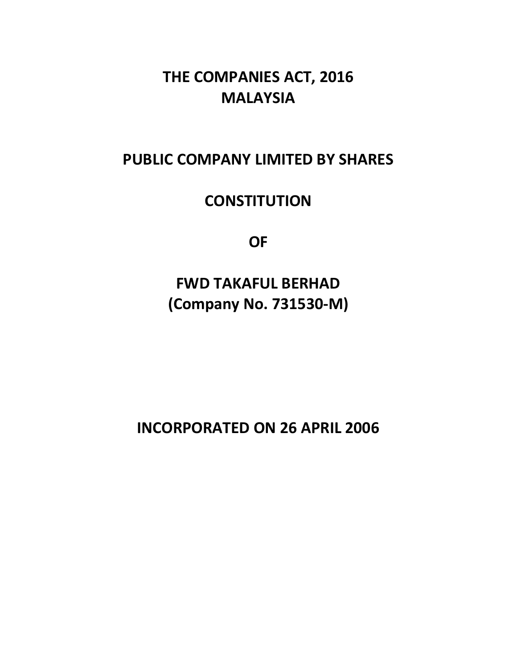# **THE COMPANIES ACT, 2016 MALAYSIA**

# **PUBLIC COMPANY LIMITED BY SHARES**

# **CONSTITUTION**

**OF**

**FWD TAKAFUL BERHAD (Company No. 731530-M)**

**INCORPORATED ON 26 APRIL 2006**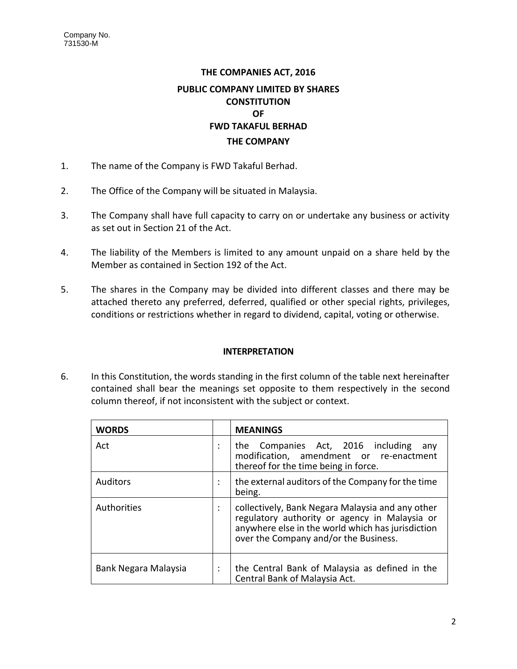# **THE COMPANIES ACT, 2016 PUBLIC COMPANY LIMITED BY SHARES CONSTITUTION OF FWD TAKAFUL BERHAD THE COMPANY**

- 1. The name of the Company is FWD Takaful Berhad.
- 2. The Office of the Company will be situated in Malaysia.
- 3. The Company shall have full capacity to carry on or undertake any business or activity as set out in Section 21 of the Act.
- 4. The liability of the Members is limited to any amount unpaid on a share held by the Member as contained in Section 192 of the Act.
- 5. The shares in the Company may be divided into different classes and there may be attached thereto any preferred, deferred, qualified or other special rights, privileges, conditions or restrictions whether in regard to dividend, capital, voting or otherwise.

# **INTERPRETATION**

6. In this Constitution, the words standing in the first column of the table next hereinafter contained shall bear the meanings set opposite to them respectively in the second column thereof, if not inconsistent with the subject or context.

| <b>WORDS</b>         |                      | <b>MEANINGS</b>                                                                                                                                                                                 |
|----------------------|----------------------|-------------------------------------------------------------------------------------------------------------------------------------------------------------------------------------------------|
| Act                  | $\ddot{\phantom{0}}$ | the Companies Act, 2016 including<br>any<br>modification, amendment or re-enactment<br>thereof for the time being in force.                                                                     |
| <b>Auditors</b>      | $\cdot$              | the external auditors of the Company for the time<br>being.                                                                                                                                     |
| Authorities          | $\cdot$              | collectively, Bank Negara Malaysia and any other<br>regulatory authority or agency in Malaysia or<br>anywhere else in the world which has jurisdiction<br>over the Company and/or the Business. |
| Bank Negara Malaysia | $\cdot$              | the Central Bank of Malaysia as defined in the<br>Central Bank of Malaysia Act.                                                                                                                 |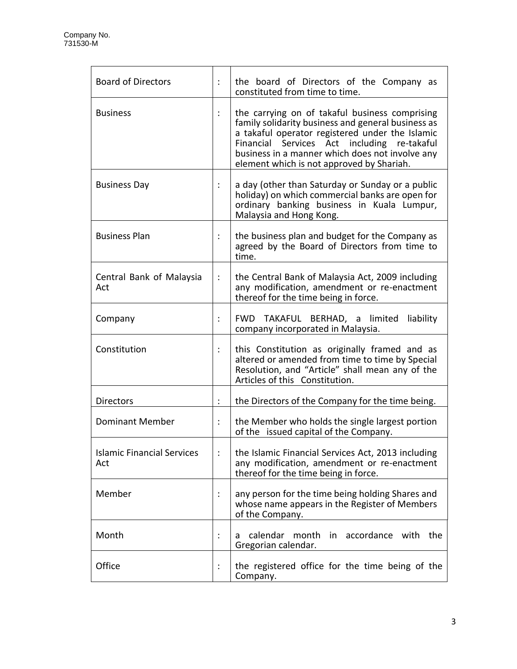| <b>Board of Directors</b>                |                      | the board of Directors of the Company as<br>constituted from time to time.                                                                                                                                                                                                                             |
|------------------------------------------|----------------------|--------------------------------------------------------------------------------------------------------------------------------------------------------------------------------------------------------------------------------------------------------------------------------------------------------|
| <b>Business</b>                          |                      | the carrying on of takaful business comprising<br>family solidarity business and general business as<br>a takaful operator registered under the Islamic<br>Financial Services Act including re-takaful<br>business in a manner which does not involve any<br>element which is not approved by Shariah. |
| <b>Business Day</b>                      |                      | a day (other than Saturday or Sunday or a public<br>holiday) on which commercial banks are open for<br>ordinary banking business in Kuala Lumpur,<br>Malaysia and Hong Kong.                                                                                                                           |
| <b>Business Plan</b>                     |                      | the business plan and budget for the Company as<br>agreed by the Board of Directors from time to<br>time.                                                                                                                                                                                              |
| Central Bank of Malaysia<br>Act          | $\ddot{\cdot}$       | the Central Bank of Malaysia Act, 2009 including<br>any modification, amendment or re-enactment<br>thereof for the time being in force.                                                                                                                                                                |
| Company                                  | $\ddot{\phantom{a}}$ | FWD TAKAFUL BERHAD, a limited<br>liability<br>company incorporated in Malaysia.                                                                                                                                                                                                                        |
| Constitution                             |                      | this Constitution as originally framed and as<br>altered or amended from time to time by Special<br>Resolution, and "Article" shall mean any of the<br>Articles of this Constitution.                                                                                                                  |
| <b>Directors</b>                         |                      | the Directors of the Company for the time being.                                                                                                                                                                                                                                                       |
| Dominant Member                          | $\ddot{\cdot}$       | the Member who holds the single largest portion<br>of the issued capital of the Company.                                                                                                                                                                                                               |
| <b>Islamic Financial Services</b><br>Act |                      | the Islamic Financial Services Act, 2013 including<br>any modification, amendment or re-enactment<br>thereof for the time being in force.                                                                                                                                                              |
| Member                                   |                      | any person for the time being holding Shares and<br>whose name appears in the Register of Members<br>of the Company.                                                                                                                                                                                   |
| Month                                    |                      | calendar month in accordance with<br>the<br>a<br>Gregorian calendar.                                                                                                                                                                                                                                   |
| Office                                   | ÷                    | the registered office for the time being of the<br>Company.                                                                                                                                                                                                                                            |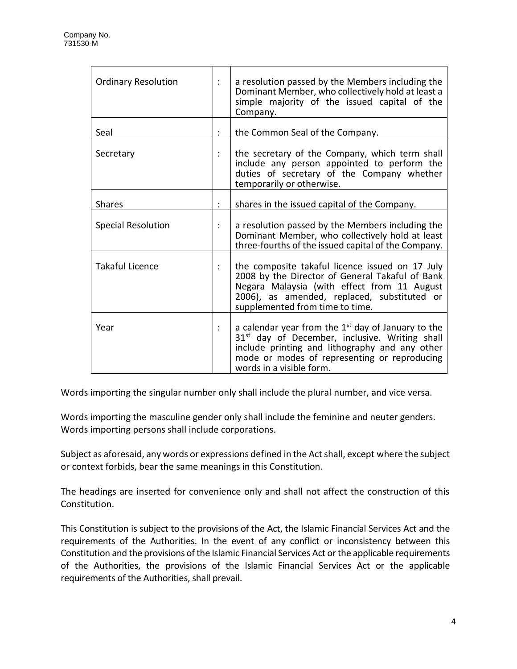| <b>Ordinary Resolution</b> | a resolution passed by the Members including the<br>Dominant Member, who collectively hold at least a<br>simple majority of the issued capital of the<br>Company.                                                                                |
|----------------------------|--------------------------------------------------------------------------------------------------------------------------------------------------------------------------------------------------------------------------------------------------|
| Seal                       | the Common Seal of the Company.                                                                                                                                                                                                                  |
| Secretary                  | the secretary of the Company, which term shall<br>include any person appointed to perform the<br>duties of secretary of the Company whether<br>temporarily or otherwise.                                                                         |
| <b>Shares</b>              | shares in the issued capital of the Company.                                                                                                                                                                                                     |
| <b>Special Resolution</b>  | a resolution passed by the Members including the<br>Dominant Member, who collectively hold at least<br>three-fourths of the issued capital of the Company.                                                                                       |
| <b>Takaful Licence</b>     | the composite takaful licence issued on 17 July<br>2008 by the Director of General Takaful of Bank<br>Negara Malaysia (with effect from 11 August<br>2006), as amended, replaced, substituted or<br>supplemented from time to time.              |
| Year                       | a calendar year from the $1st$ day of January to the<br>31 <sup>st</sup> day of December, inclusive. Writing shall<br>include printing and lithography and any other<br>mode or modes of representing or reproducing<br>words in a visible form. |

Words importing the singular number only shall include the plural number, and vice versa.

Words importing the masculine gender only shall include the feminine and neuter genders. Words importing persons shall include corporations.

Subject as aforesaid, any words or expressions defined in the Act shall, except where the subject or context forbids, bear the same meanings in this Constitution.

The headings are inserted for convenience only and shall not affect the construction of this Constitution.

This Constitution is subject to the provisions of the Act, the Islamic Financial Services Act and the requirements of the Authorities. In the event of any conflict or inconsistency between this Constitution and the provisions of the Islamic Financial Services Act or the applicable requirements of the Authorities, the provisions of the Islamic Financial Services Act or the applicable requirements of the Authorities, shall prevail.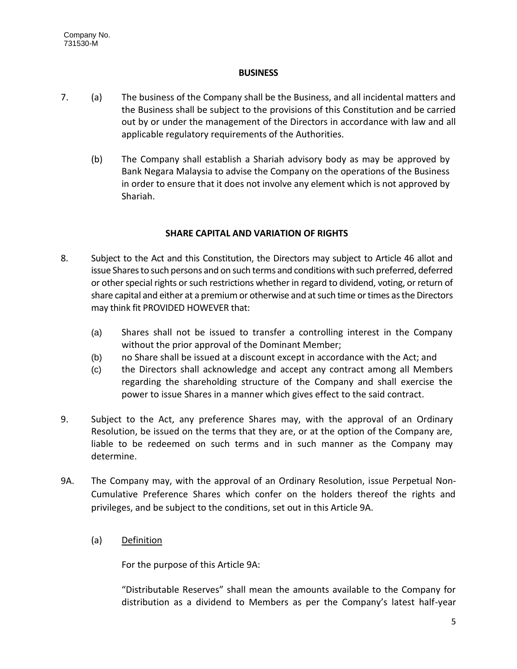## **BUSINESS**

- 7. (a) The business of the Company shall be the Business, and all incidental matters and the Business shall be subject to the provisions of this Constitution and be carried out by or under the management of the Directors in accordance with law and all applicable regulatory requirements of the Authorities.
	- (b) The Company shall establish a Shariah advisory body as may be approved by Bank Negara Malaysia to advise the Company on the operations of the Business in order to ensure that it does not involve any element which is not approved by Shariah.

# **SHARE CAPITAL AND VARIATION OF RIGHTS**

- 8. Subject to the Act and this Constitution, the Directors may subject to Article 46 allot and issue Shares to such persons and on such terms and conditions with such preferred, deferred or other special rights or such restrictions whether in regard to dividend, voting, or return of share capital and either at a premium or otherwise and at such time or times as the Directors may think fit PROVIDED HOWEVER that:
	- (a) Shares shall not be issued to transfer a controlling interest in the Company without the prior approval of the Dominant Member;
	- (b) no Share shall be issued at a discount except in accordance with the Act; and
	- (c) the Directors shall acknowledge and accept any contract among all Members regarding the shareholding structure of the Company and shall exercise the power to issue Shares in a manner which gives effect to the said contract.
- 9. Subject to the Act, any preference Shares may, with the approval of an Ordinary Resolution, be issued on the terms that they are, or at the option of the Company are, liable to be redeemed on such terms and in such manner as the Company may determine.
- 9A. The Company may, with the approval of an Ordinary Resolution, issue Perpetual Non-Cumulative Preference Shares which confer on the holders thereof the rights and privileges, and be subject to the conditions, set out in this Article 9A.
	- (a) Definition

For the purpose of this Article 9A:

"Distributable Reserves" shall mean the amounts available to the Company for distribution as a dividend to Members as per the Company's latest half-year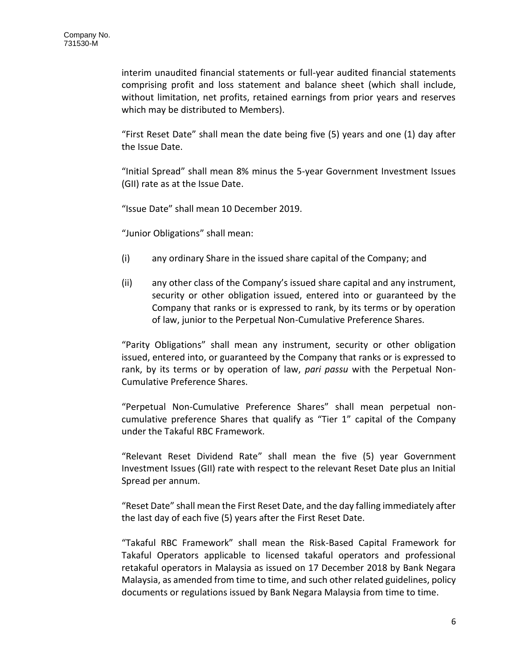interim unaudited financial statements or full-year audited financial statements comprising profit and loss statement and balance sheet (which shall include, without limitation, net profits, retained earnings from prior years and reserves which may be distributed to Members).

"First Reset Date" shall mean the date being five (5) years and one (1) day after the Issue Date.

"Initial Spread" shall mean 8% minus the 5-year Government Investment Issues (GII) rate as at the Issue Date.

"Issue Date" shall mean 10 December 2019.

"Junior Obligations" shall mean:

- (i) any ordinary Share in the issued share capital of the Company; and
- (ii) any other class of the Company's issued share capital and any instrument, security or other obligation issued, entered into or guaranteed by the Company that ranks or is expressed to rank, by its terms or by operation of law, junior to the Perpetual Non-Cumulative Preference Shares.

"Parity Obligations" shall mean any instrument, security or other obligation issued, entered into, or guaranteed by the Company that ranks or is expressed to rank, by its terms or by operation of law, *pari passu* with the Perpetual Non-Cumulative Preference Shares.

"Perpetual Non-Cumulative Preference Shares" shall mean perpetual noncumulative preference Shares that qualify as "Tier 1" capital of the Company under the Takaful RBC Framework.

"Relevant Reset Dividend Rate" shall mean the five (5) year Government Investment Issues (GII) rate with respect to the relevant Reset Date plus an Initial Spread per annum.

"Reset Date" shall mean the First Reset Date, and the day falling immediately after the last day of each five (5) years after the First Reset Date.

"Takaful RBC Framework" shall mean the Risk-Based Capital Framework for Takaful Operators applicable to licensed takaful operators and professional retakaful operators in Malaysia as issued on 17 December 2018 by Bank Negara Malaysia, as amended from time to time, and such other related guidelines, policy documents or regulations issued by Bank Negara Malaysia from time to time.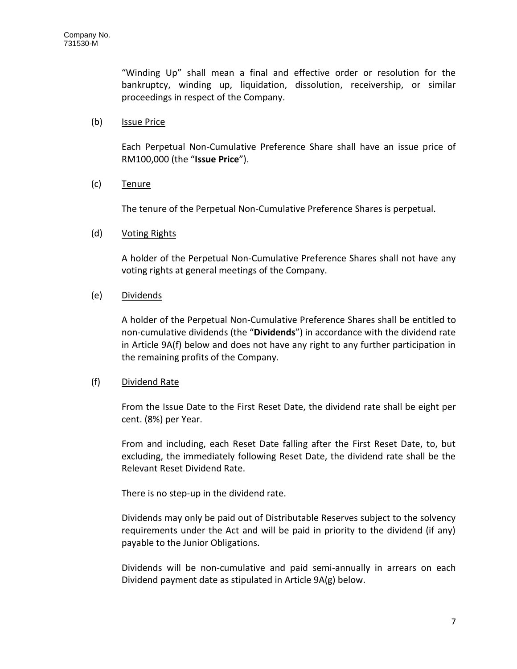"Winding Up" shall mean a final and effective order or resolution for the bankruptcy, winding up, liquidation, dissolution, receivership, or similar proceedings in respect of the Company.

## (b) Issue Price

Each Perpetual Non-Cumulative Preference Share shall have an issue price of RM100,000 (the "**Issue Price**").

# (c) Tenure

The tenure of the Perpetual Non-Cumulative Preference Shares is perpetual.

## (d) Voting Rights

A holder of the Perpetual Non-Cumulative Preference Shares shall not have any voting rights at general meetings of the Company.

## (e) Dividends

A holder of the Perpetual Non-Cumulative Preference Shares shall be entitled to non-cumulative dividends (the "**Dividends**") in accordance with the dividend rate in Article 9A(f) below and does not have any right to any further participation in the remaining profits of the Company.

#### (f) Dividend Rate

From the Issue Date to the First Reset Date, the dividend rate shall be eight per cent. (8%) per Year.

From and including, each Reset Date falling after the First Reset Date, to, but excluding, the immediately following Reset Date, the dividend rate shall be the Relevant Reset Dividend Rate.

There is no step-up in the dividend rate.

Dividends may only be paid out of Distributable Reserves subject to the solvency requirements under the Act and will be paid in priority to the dividend (if any) payable to the Junior Obligations.

Dividends will be non-cumulative and paid semi-annually in arrears on each Dividend payment date as stipulated in Article 9A(g) below.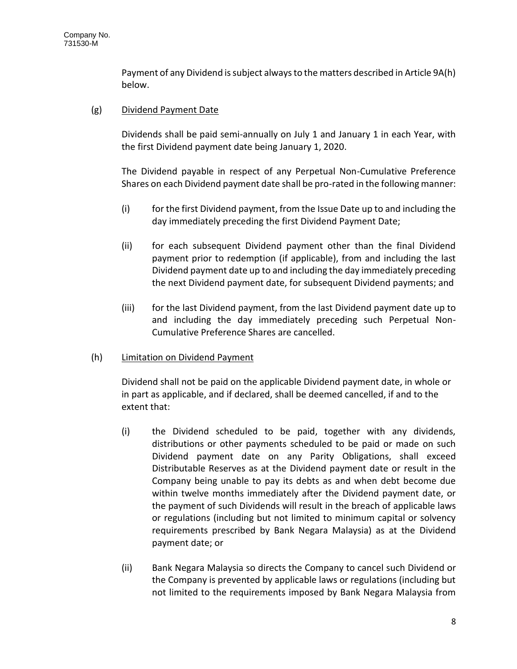Payment of any Dividend is subject always to the matters described in Article 9A(h) below.

# (g) Dividend Payment Date

Dividends shall be paid semi-annually on July 1 and January 1 in each Year, with the first Dividend payment date being January 1, 2020.

The Dividend payable in respect of any Perpetual Non-Cumulative Preference Shares on each Dividend payment date shall be pro-rated in the following manner:

- (i) for the first Dividend payment, from the Issue Date up to and including the day immediately preceding the first Dividend Payment Date;
- (ii) for each subsequent Dividend payment other than the final Dividend payment prior to redemption (if applicable), from and including the last Dividend payment date up to and including the day immediately preceding the next Dividend payment date, for subsequent Dividend payments; and
- (iii) for the last Dividend payment, from the last Dividend payment date up to and including the day immediately preceding such Perpetual Non-Cumulative Preference Shares are cancelled.

# (h) Limitation on Dividend Payment

Dividend shall not be paid on the applicable Dividend payment date, in whole or in part as applicable, and if declared, shall be deemed cancelled, if and to the extent that:

- (i) the Dividend scheduled to be paid, together with any dividends, distributions or other payments scheduled to be paid or made on such Dividend payment date on any Parity Obligations, shall exceed Distributable Reserves as at the Dividend payment date or result in the Company being unable to pay its debts as and when debt become due within twelve months immediately after the Dividend payment date, or the payment of such Dividends will result in the breach of applicable laws or regulations (including but not limited to minimum capital or solvency requirements prescribed by Bank Negara Malaysia) as at the Dividend payment date; or
- (ii) Bank Negara Malaysia so directs the Company to cancel such Dividend or the Company is prevented by applicable laws or regulations (including but not limited to the requirements imposed by Bank Negara Malaysia from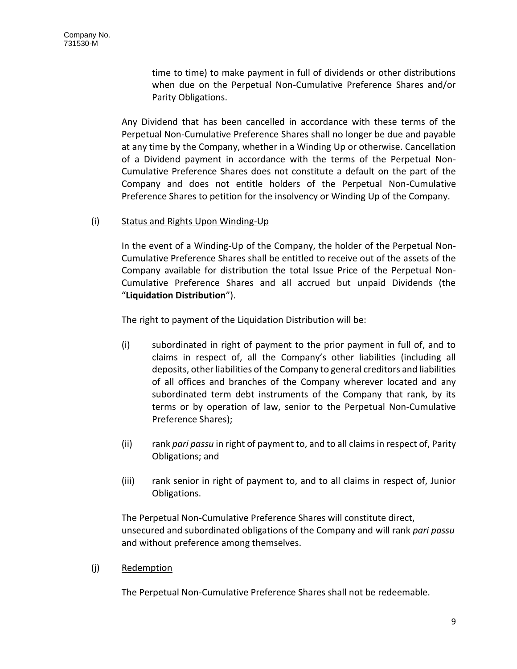time to time) to make payment in full of dividends or other distributions when due on the Perpetual Non-Cumulative Preference Shares and/or Parity Obligations.

Any Dividend that has been cancelled in accordance with these terms of the Perpetual Non-Cumulative Preference Shares shall no longer be due and payable at any time by the Company, whether in a Winding Up or otherwise. Cancellation of a Dividend payment in accordance with the terms of the Perpetual Non-Cumulative Preference Shares does not constitute a default on the part of the Company and does not entitle holders of the Perpetual Non-Cumulative Preference Shares to petition for the insolvency or Winding Up of the Company.

# (i) Status and Rights Upon Winding-Up

In the event of a Winding-Up of the Company, the holder of the Perpetual Non-Cumulative Preference Shares shall be entitled to receive out of the assets of the Company available for distribution the total Issue Price of the Perpetual Non-Cumulative Preference Shares and all accrued but unpaid Dividends (the "**Liquidation Distribution**").

The right to payment of the Liquidation Distribution will be:

- (i) subordinated in right of payment to the prior payment in full of, and to claims in respect of, all the Company's other liabilities (including all deposits, other liabilities of the Company to general creditors and liabilities of all offices and branches of the Company wherever located and any subordinated term debt instruments of the Company that rank, by its terms or by operation of law, senior to the Perpetual Non-Cumulative Preference Shares);
- (ii) rank *pari passu* in right of payment to, and to all claims in respect of, Parity Obligations; and
- (iii) rank senior in right of payment to, and to all claims in respect of, Junior Obligations.

The Perpetual Non-Cumulative Preference Shares will constitute direct, unsecured and subordinated obligations of the Company and will rank *pari passu*  and without preference among themselves.

(j) Redemption

The Perpetual Non-Cumulative Preference Shares shall not be redeemable.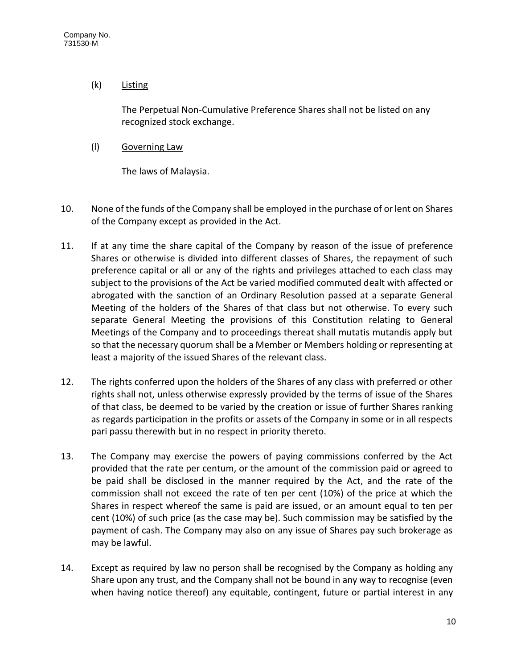# (k) Listing

The Perpetual Non-Cumulative Preference Shares shall not be listed on any recognized stock exchange.

(l) Governing Law

The laws of Malaysia.

- 10. None of the funds of the Company shall be employed in the purchase of or lent on Shares of the Company except as provided in the Act.
- 11. If at any time the share capital of the Company by reason of the issue of preference Shares or otherwise is divided into different classes of Shares, the repayment of such preference capital or all or any of the rights and privileges attached to each class may subject to the provisions of the Act be varied modified commuted dealt with affected or abrogated with the sanction of an Ordinary Resolution passed at a separate General Meeting of the holders of the Shares of that class but not otherwise. To every such separate General Meeting the provisions of this Constitution relating to General Meetings of the Company and to proceedings thereat shall mutatis mutandis apply but so that the necessary quorum shall be a Member or Members holding or representing at least a majority of the issued Shares of the relevant class.
- 12. The rights conferred upon the holders of the Shares of any class with preferred or other rights shall not, unless otherwise expressly provided by the terms of issue of the Shares of that class, be deemed to be varied by the creation or issue of further Shares ranking as regards participation in the profits or assets of the Company in some or in all respects pari passu therewith but in no respect in priority thereto.
- 13. The Company may exercise the powers of paying commissions conferred by the Act provided that the rate per centum, or the amount of the commission paid or agreed to be paid shall be disclosed in the manner required by the Act, and the rate of the commission shall not exceed the rate of ten per cent (10%) of the price at which the Shares in respect whereof the same is paid are issued, or an amount equal to ten per cent (10%) of such price (as the case may be). Such commission may be satisfied by the payment of cash. The Company may also on any issue of Shares pay such brokerage as may be lawful.
- 14. Except as required by law no person shall be recognised by the Company as holding any Share upon any trust, and the Company shall not be bound in any way to recognise (even when having notice thereof) any equitable, contingent, future or partial interest in any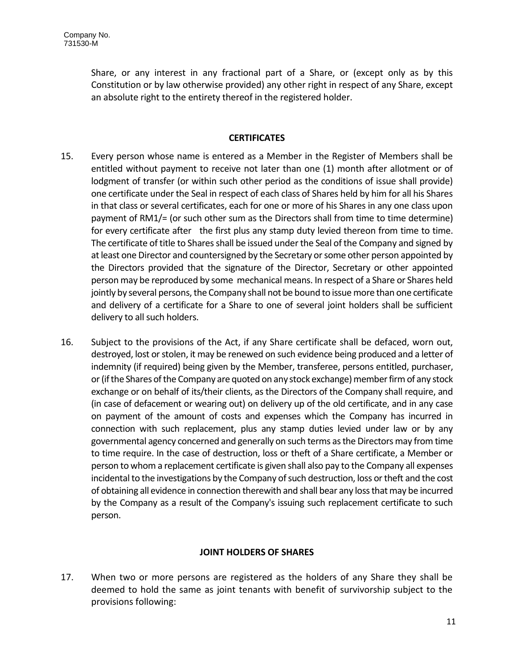Share, or any interest in any fractional part of a Share, or (except only as by this Constitution or by law otherwise provided) any other right in respect of any Share, except an absolute right to the entirety thereof in the registered holder.

## **CERTIFICATES**

- 15. Every person whose name is entered as a Member in the Register of Members shall be entitled without payment to receive not later than one (1) month after allotment or of lodgment of transfer (or within such other period as the conditions of issue shall provide) one certificate under the Seal in respect of each class of Shares held by him for all his Shares in that class or several certificates, each for one or more of his Shares in any one class upon payment of RM1/= (or such other sum as the Directors shall from time to time determine) for every certificate after the first plus any stamp duty levied thereon from time to time. The certificate of title to Shares shall be issued under the Seal of the Company and signed by at least one Director and countersigned by the Secretary or some other person appointed by the Directors provided that the signature of the Director, Secretary or other appointed person may be reproduced by some mechanical means. In respect of a Share or Shares held jointly by several persons, the Company shall not be bound to issue more than one certificate and delivery of a certificate for a Share to one of several joint holders shall be sufficient delivery to all such holders.
- 16. Subject to the provisions of the Act, if any Share certificate shall be defaced, worn out, destroyed, lost or stolen, it may be renewed on such evidence being produced and a letter of indemnity (if required) being given by the Member, transferee, persons entitled, purchaser, or (if the Shares of the Company are quoted on any stock exchange) member firm of any stock exchange or on behalf of its/their clients, as the Directors of the Company shall require, and (in case of defacement or wearing out) on delivery up of the old certificate, and in any case on payment of the amount of costs and expenses which the Company has incurred in connection with such replacement, plus any stamp duties levied under law or by any governmental agency concerned and generally on such terms as the Directors may from time to time require. In the case of destruction, loss or theft of a Share certificate, a Member or person to whom a replacement certificate is given shall also pay to the Company all expenses incidental to the investigations by the Company of such destruction, loss or theft and the cost of obtaining all evidence in connection therewith and shall bear any loss that may be incurred by the Company as a result of the Company's issuing such replacement certificate to such person.

# **JOINT HOLDERS OF SHARES**

17. When two or more persons are registered as the holders of any Share they shall be deemed to hold the same as joint tenants with benefit of survivorship subject to the provisions following: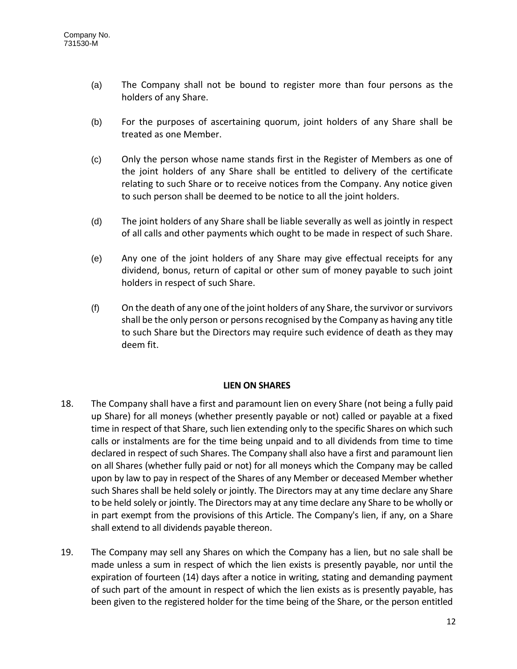- (a) The Company shall not be bound to register more than four persons as the holders of any Share.
- (b) For the purposes of ascertaining quorum, joint holders of any Share shall be treated as one Member.
- (c) Only the person whose name stands first in the Register of Members as one of the joint holders of any Share shall be entitled to delivery of the certificate relating to such Share or to receive notices from the Company. Any notice given to such person shall be deemed to be notice to all the joint holders.
- (d) The joint holders of any Share shall be liable severally as well as jointly in respect of all calls and other payments which ought to be made in respect of such Share.
- (e) Any one of the joint holders of any Share may give effectual receipts for any dividend, bonus, return of capital or other sum of money payable to such joint holders in respect of such Share.
- (f) On the death of any one of the joint holders of any Share, the survivor or survivors shall be the only person or persons recognised by the Company as having any title to such Share but the Directors may require such evidence of death as they may deem fit.

# **LIEN ON SHARES**

- 18. The Company shall have a first and paramount lien on every Share (not being a fully paid up Share) for all moneys (whether presently payable or not) called or payable at a fixed time in respect of that Share, such lien extending only to the specific Shares on which such calls or instalments are for the time being unpaid and to all dividends from time to time declared in respect of such Shares. The Company shall also have a first and paramount lien on all Shares (whether fully paid or not) for all moneys which the Company may be called upon by law to pay in respect of the Shares of any Member or deceased Member whether such Shares shall be held solely or jointly. The Directors may at any time declare any Share to be held solely or jointly. The Directors may at any time declare any Share to be wholly or in part exempt from the provisions of this Article. The Company's lien, if any, on a Share shall extend to all dividends payable thereon.
- 19. The Company may sell any Shares on which the Company has a lien, but no sale shall be made unless a sum in respect of which the lien exists is presently payable, nor until the expiration of fourteen (14) days after a notice in writing, stating and demanding payment of such part of the amount in respect of which the lien exists as is presently payable, has been given to the registered holder for the time being of the Share, or the person entitled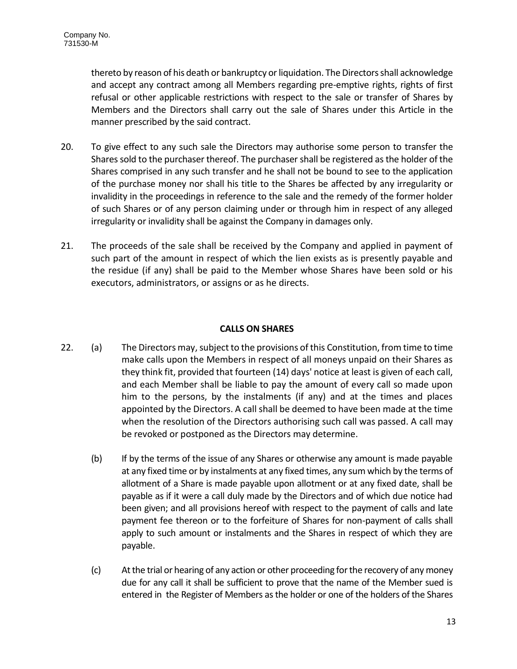thereto by reason of his death or bankruptcy or liquidation. The Directors shall acknowledge and accept any contract among all Members regarding pre-emptive rights, rights of first refusal or other applicable restrictions with respect to the sale or transfer of Shares by Members and the Directors shall carry out the sale of Shares under this Article in the manner prescribed by the said contract.

- 20. To give effect to any such sale the Directors may authorise some person to transfer the Shares sold to the purchaser thereof. The purchaser shall be registered as the holder of the Shares comprised in any such transfer and he shall not be bound to see to the application of the purchase money nor shall his title to the Shares be affected by any irregularity or invalidity in the proceedings in reference to the sale and the remedy of the former holder of such Shares or of any person claiming under or through him in respect of any alleged irregularity or invalidity shall be against the Company in damages only.
- 21. The proceeds of the sale shall be received by the Company and applied in payment of such part of the amount in respect of which the lien exists as is presently payable and the residue (if any) shall be paid to the Member whose Shares have been sold or his executors, administrators, or assigns or as he directs.

## **CALLS ON SHARES**

- 22. (a) The Directors may, subject to the provisions of this Constitution, from time to time make calls upon the Members in respect of all moneys unpaid on their Shares as they think fit, provided that fourteen (14) days' notice at least is given of each call, and each Member shall be liable to pay the amount of every call so made upon him to the persons, by the instalments (if any) and at the times and places appointed by the Directors. A call shall be deemed to have been made at the time when the resolution of the Directors authorising such call was passed. A call may be revoked or postponed as the Directors may determine.
	- (b) If by the terms of the issue of any Shares or otherwise any amount is made payable at any fixed time or by instalments at any fixed times, any sum which by the terms of allotment of a Share is made payable upon allotment or at any fixed date, shall be payable as if it were a call duly made by the Directors and of which due notice had been given; and all provisions hereof with respect to the payment of calls and late payment fee thereon or to the forfeiture of Shares for non-payment of calls shall apply to such amount or instalments and the Shares in respect of which they are payable.
	- (c) At the trial or hearing of any action or other proceeding for the recovery of any money due for any call it shall be sufficient to prove that the name of the Member sued is entered in the Register of Members as the holder or one of the holders of the Shares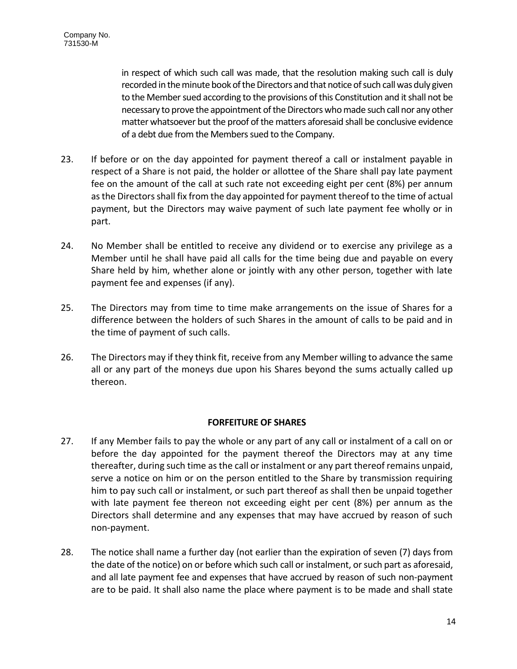in respect of which such call was made, that the resolution making such call is duly recorded in the minute book of the Directors and that notice of such call was duly given to the Member sued according to the provisions of this Constitution and it shall not be necessary to prove the appointment of the Directors who made such call nor any other matter whatsoever but the proof of the matters aforesaid shall be conclusive evidence of a debt due from the Members sued to the Company.

- 23. If before or on the day appointed for payment thereof a call or instalment payable in respect of a Share is not paid, the holder or allottee of the Share shall pay late payment fee on the amount of the call at such rate not exceeding eight per cent (8%) per annum as the Directors shall fix from the day appointed for payment thereof to the time of actual payment, but the Directors may waive payment of such late payment fee wholly or in part.
- 24. No Member shall be entitled to receive any dividend or to exercise any privilege as a Member until he shall have paid all calls for the time being due and payable on every Share held by him, whether alone or jointly with any other person, together with late payment fee and expenses (if any).
- 25. The Directors may from time to time make arrangements on the issue of Shares for a difference between the holders of such Shares in the amount of calls to be paid and in the time of payment of such calls.
- 26. The Directors may if they think fit, receive from any Member willing to advance the same all or any part of the moneys due upon his Shares beyond the sums actually called up thereon.

# **FORFEITURE OF SHARES**

- 27. If any Member fails to pay the whole or any part of any call or instalment of a call on or before the day appointed for the payment thereof the Directors may at any time thereafter, during such time as the call or instalment or any part thereof remains unpaid, serve a notice on him or on the person entitled to the Share by transmission requiring him to pay such call or instalment, or such part thereof as shall then be unpaid together with late payment fee thereon not exceeding eight per cent (8%) per annum as the Directors shall determine and any expenses that may have accrued by reason of such non-payment.
- 28. The notice shall name a further day (not earlier than the expiration of seven (7) days from the date of the notice) on or before which such call or instalment, or such part as aforesaid, and all late payment fee and expenses that have accrued by reason of such non-payment are to be paid. It shall also name the place where payment is to be made and shall state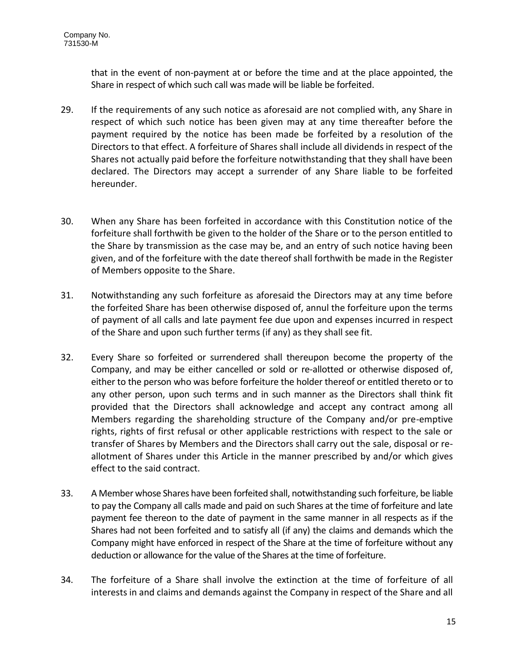that in the event of non-payment at or before the time and at the place appointed, the Share in respect of which such call was made will be liable be forfeited.

- 29. If the requirements of any such notice as aforesaid are not complied with, any Share in respect of which such notice has been given may at any time thereafter before the payment required by the notice has been made be forfeited by a resolution of the Directors to that effect. A forfeiture of Shares shall include all dividends in respect of the Shares not actually paid before the forfeiture notwithstanding that they shall have been declared. The Directors may accept a surrender of any Share liable to be forfeited hereunder.
- 30. When any Share has been forfeited in accordance with this Constitution notice of the forfeiture shall forthwith be given to the holder of the Share or to the person entitled to the Share by transmission as the case may be, and an entry of such notice having been given, and of the forfeiture with the date thereof shall forthwith be made in the Register of Members opposite to the Share.
- 31. Notwithstanding any such forfeiture as aforesaid the Directors may at any time before the forfeited Share has been otherwise disposed of, annul the forfeiture upon the terms of payment of all calls and late payment fee due upon and expenses incurred in respect of the Share and upon such further terms (if any) as they shall see fit.
- 32. Every Share so forfeited or surrendered shall thereupon become the property of the Company, and may be either cancelled or sold or re-allotted or otherwise disposed of, either to the person who was before forfeiture the holder thereof or entitled thereto or to any other person, upon such terms and in such manner as the Directors shall think fit provided that the Directors shall acknowledge and accept any contract among all Members regarding the shareholding structure of the Company and/or pre-emptive rights, rights of first refusal or other applicable restrictions with respect to the sale or transfer of Shares by Members and the Directors shall carry out the sale, disposal or reallotment of Shares under this Article in the manner prescribed by and/or which gives effect to the said contract.
- 33. A Member whose Shares have been forfeited shall, notwithstanding such forfeiture, be liable to pay the Company all calls made and paid on such Shares at the time of forfeiture and late payment fee thereon to the date of payment in the same manner in all respects as if the Shares had not been forfeited and to satisfy all (if any) the claims and demands which the Company might have enforced in respect of the Share at the time of forfeiture without any deduction or allowance for the value of the Shares at the time of forfeiture.
- 34. The forfeiture of a Share shall involve the extinction at the time of forfeiture of all interests in and claims and demands against the Company in respect of the Share and all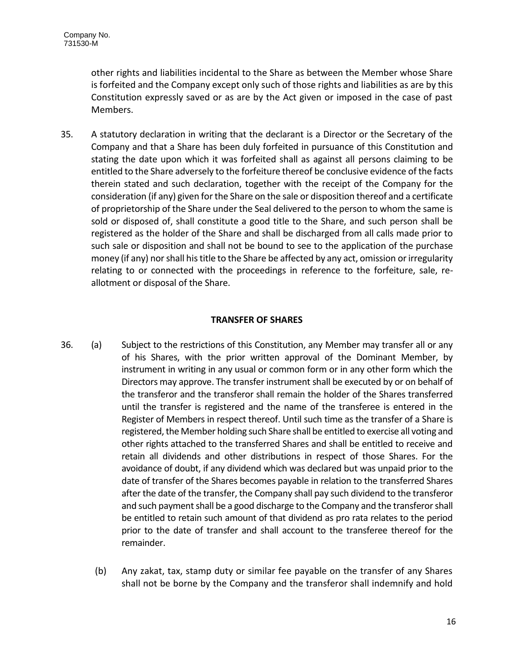other rights and liabilities incidental to the Share as between the Member whose Share is forfeited and the Company except only such of those rights and liabilities as are by this Constitution expressly saved or as are by the Act given or imposed in the case of past Members.

35. A statutory declaration in writing that the declarant is a Director or the Secretary of the Company and that a Share has been duly forfeited in pursuance of this Constitution and stating the date upon which it was forfeited shall as against all persons claiming to be entitled to the Share adversely to the forfeiture thereof be conclusive evidence of the facts therein stated and such declaration, together with the receipt of the Company for the consideration (if any) given for the Share on the sale or disposition thereof and a certificate of proprietorship of the Share under the Seal delivered to the person to whom the same is sold or disposed of, shall constitute a good title to the Share, and such person shall be registered as the holder of the Share and shall be discharged from all calls made prior to such sale or disposition and shall not be bound to see to the application of the purchase money (if any) nor shall his title to the Share be affected by any act, omission or irregularity relating to or connected with the proceedings in reference to the forfeiture, sale, reallotment or disposal of the Share.

## **TRANSFER OF SHARES**

- 36. (a) Subject to the restrictions of this Constitution, any Member may transfer all or any of his Shares, with the prior written approval of the Dominant Member, by instrument in writing in any usual or common form or in any other form which the Directors may approve. The transfer instrument shall be executed by or on behalf of the transferor and the transferor shall remain the holder of the Shares transferred until the transfer is registered and the name of the transferee is entered in the Register of Members in respect thereof. Until such time as the transfer of a Share is registered, the Member holding such Share shall be entitled to exercise all voting and other rights attached to the transferred Shares and shall be entitled to receive and retain all dividends and other distributions in respect of those Shares. For the avoidance of doubt, if any dividend which was declared but was unpaid prior to the date of transfer of the Shares becomes payable in relation to the transferred Shares after the date of the transfer, the Company shall pay such dividend to the transferor and such payment shall be a good discharge to the Company and the transferor shall be entitled to retain such amount of that dividend as pro rata relates to the period prior to the date of transfer and shall account to the transferee thereof for the remainder.
	- (b) Any zakat, tax, stamp duty or similar fee payable on the transfer of any Shares shall not be borne by the Company and the transferor shall indemnify and hold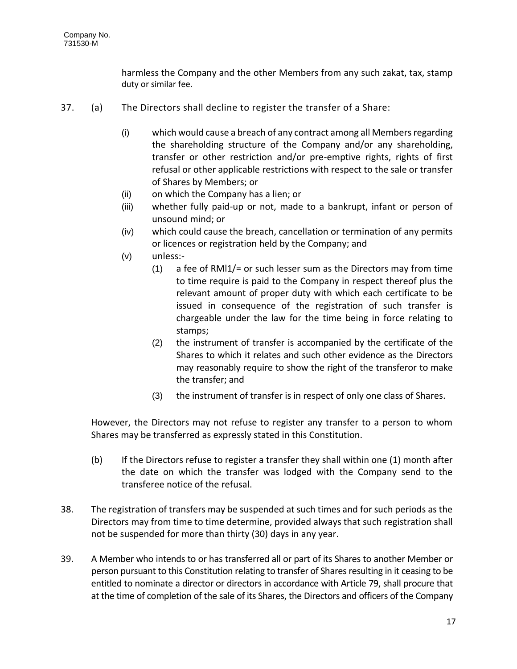harmless the Company and the other Members from any such zakat, tax, stamp duty or similar fee.

- 37. (a) The Directors shall decline to register the transfer of a Share:
	- (i) which would cause a breach of any contract among all Members regarding the shareholding structure of the Company and/or any shareholding, transfer or other restriction and/or pre-emptive rights, rights of first refusal or other applicable restrictions with respect to the sale or transfer of Shares by Members; or
	- (ii) on which the Company has a lien; or
	- (iii) whether fully paid-up or not, made to a bankrupt, infant or person of unsound mind; or
	- (iv) which could cause the breach, cancellation or termination of any permits or licences or registration held by the Company; and
	- (v) unless:-
		- (1) a fee of RMl1/= or such lesser sum as the Directors may from time to time require is paid to the Company in respect thereof plus the relevant amount of proper duty with which each certificate to be issued in consequence of the registration of such transfer is chargeable under the law for the time being in force relating to stamps;
		- (2) the instrument of transfer is accompanied by the certificate of the Shares to which it relates and such other evidence as the Directors may reasonably require to show the right of the transferor to make the transfer; and
		- (3) the instrument of transfer is in respect of only one class of Shares.

However, the Directors may not refuse to register any transfer to a person to whom Shares may be transferred as expressly stated in this Constitution.

- (b) If the Directors refuse to register a transfer they shall within one (1) month after the date on which the transfer was lodged with the Company send to the transferee notice of the refusal.
- 38. The registration of transfers may be suspended at such times and for such periods as the Directors may from time to time determine, provided always that such registration shall not be suspended for more than thirty (30) days in any year.
- 39. A Member who intends to or has transferred all or part of its Shares to another Member or person pursuant to this Constitution relating to transfer of Shares resulting in it ceasing to be entitled to nominate a director or directors in accordance with Article 79, shall procure that at the time of completion of the sale of its Shares, the Directors and officers of the Company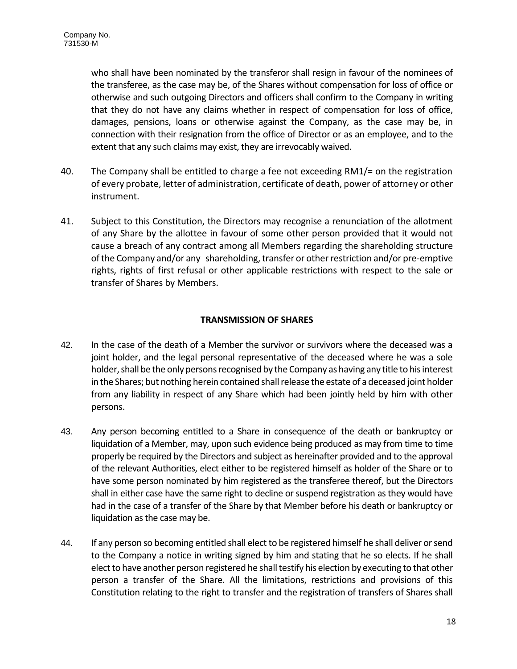who shall have been nominated by the transferor shall resign in favour of the nominees of the transferee, as the case may be, of the Shares without compensation for loss of office or otherwise and such outgoing Directors and officers shall confirm to the Company in writing that they do not have any claims whether in respect of compensation for loss of office, damages, pensions, loans or otherwise against the Company, as the case may be, in connection with their resignation from the office of Director or as an employee, and to the extent that any such claims may exist, they are irrevocably waived.

- 40. The Company shall be entitled to charge a fee not exceeding RM1/= on the registration of every probate, letter of administration, certificate of death, power of attorney or other instrument.
- 41. Subject to this Constitution, the Directors may recognise a renunciation of the allotment of any Share by the allottee in favour of some other person provided that it would not cause a breach of any contract among all Members regarding the shareholding structure of the Company and/or any shareholding, transfer or other restriction and/or pre-emptive rights, rights of first refusal or other applicable restrictions with respect to the sale or transfer of Shares by Members.

# **TRANSMISSION OF SHARES**

- 42. In the case of the death of a Member the survivor or survivors where the deceased was a joint holder, and the legal personal representative of the deceased where he was a sole holder, shall be the only persons recognised by the Company as having any title to his interest in the Shares; but nothing herein contained shall release the estate of a deceased joint holder from any liability in respect of any Share which had been jointly held by him with other persons.
- 43. Any person becoming entitled to a Share in consequence of the death or bankruptcy or liquidation of a Member, may, upon such evidence being produced as may from time to time properly be required by the Directors and subject as hereinafter provided and to the approval of the relevant Authorities, elect either to be registered himself as holder of the Share or to have some person nominated by him registered as the transferee thereof, but the Directors shall in either case have the same right to decline or suspend registration as they would have had in the case of a transfer of the Share by that Member before his death or bankruptcy or liquidation as the case may be.
- 44. If any person so becoming entitled shall elect to be registered himself he shall deliver or send to the Company a notice in writing signed by him and stating that he so elects. If he shall elect to have another person registered he shall testify his election by executing to that other person a transfer of the Share. All the limitations, restrictions and provisions of this Constitution relating to the right to transfer and the registration of transfers of Shares shall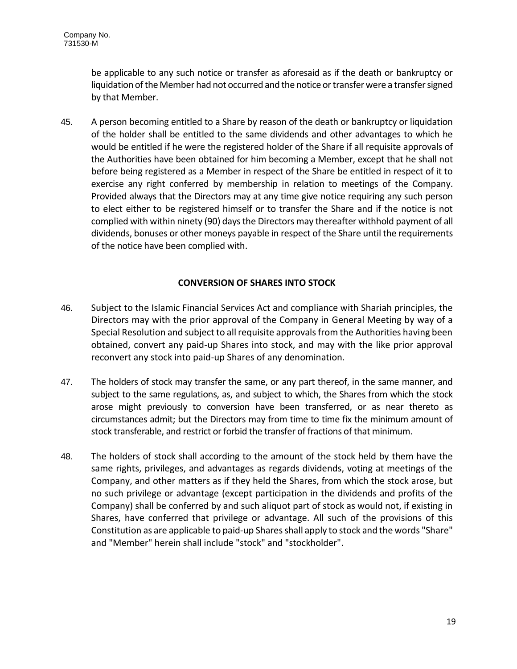be applicable to any such notice or transfer as aforesaid as if the death or bankruptcy or liquidation of the Member had not occurred and the notice or transfer were a transfer signed by that Member.

45. A person becoming entitled to a Share by reason of the death or bankruptcy or liquidation of the holder shall be entitled to the same dividends and other advantages to which he would be entitled if he were the registered holder of the Share if all requisite approvals of the Authorities have been obtained for him becoming a Member, except that he shall not before being registered as a Member in respect of the Share be entitled in respect of it to exercise any right conferred by membership in relation to meetings of the Company. Provided always that the Directors may at any time give notice requiring any such person to elect either to be registered himself or to transfer the Share and if the notice is not complied with within ninety (90) days the Directors may thereafter withhold payment of all dividends, bonuses or other moneys payable in respect of the Share until the requirements of the notice have been complied with.

# **CONVERSION OF SHARES INTO STOCK**

- 46. Subject to the Islamic Financial Services Act and compliance with Shariah principles, the Directors may with the prior approval of the Company in General Meeting by way of a Special Resolution and subject to all requisite approvals from the Authorities having been obtained, convert any paid-up Shares into stock, and may with the like prior approval reconvert any stock into paid-up Shares of any denomination.
- 47. The holders of stock may transfer the same, or any part thereof, in the same manner, and subject to the same regulations, as, and subject to which, the Shares from which the stock arose might previously to conversion have been transferred, or as near thereto as circumstances admit; but the Directors may from time to time fix the minimum amount of stock transferable, and restrict or forbid the transfer of fractions of that minimum.
- 48. The holders of stock shall according to the amount of the stock held by them have the same rights, privileges, and advantages as regards dividends, voting at meetings of the Company, and other matters as if they held the Shares, from which the stock arose, but no such privilege or advantage (except participation in the dividends and profits of the Company) shall be conferred by and such aliquot part of stock as would not, if existing in Shares, have conferred that privilege or advantage. All such of the provisions of this Constitution as are applicable to paid-up Shares shall apply to stock and the words "Share" and "Member" herein shall include "stock" and "stockholder".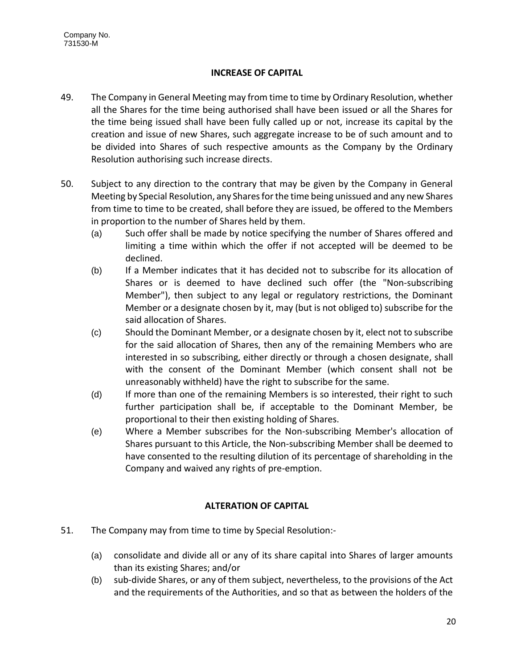# **INCREASE OF CAPITAL**

- 49. The Company in General Meeting may from time to time by Ordinary Resolution, whether all the Shares for the time being authorised shall have been issued or all the Shares for the time being issued shall have been fully called up or not, increase its capital by the creation and issue of new Shares, such aggregate increase to be of such amount and to be divided into Shares of such respective amounts as the Company by the Ordinary Resolution authorising such increase directs.
- 50. Subject to any direction to the contrary that may be given by the Company in General Meeting by Special Resolution, any Shares for the time being unissued and any new Shares from time to time to be created, shall before they are issued, be offered to the Members in proportion to the number of Shares held by them.
	- (a) Such offer shall be made by notice specifying the number of Shares offered and limiting a time within which the offer if not accepted will be deemed to be declined.
	- (b) If a Member indicates that it has decided not to subscribe for its allocation of Shares or is deemed to have declined such offer (the "Non-subscribing Member"), then subject to any legal or regulatory restrictions, the Dominant Member or a designate chosen by it, may (but is not obliged to) subscribe for the said allocation of Shares.
	- (c) Should the Dominant Member, or a designate chosen by it, elect not to subscribe for the said allocation of Shares, then any of the remaining Members who are interested in so subscribing, either directly or through a chosen designate, shall with the consent of the Dominant Member (which consent shall not be unreasonably withheld) have the right to subscribe for the same.
	- (d) If more than one of the remaining Members is so interested, their right to such further participation shall be, if acceptable to the Dominant Member, be proportional to their then existing holding of Shares.
	- (e) Where a Member subscribes for the Non-subscribing Member's allocation of Shares pursuant to this Article, the Non-subscribing Member shall be deemed to have consented to the resulting dilution of its percentage of shareholding in the Company and waived any rights of pre-emption.

# **ALTERATION OF CAPITAL**

- 51. The Company may from time to time by Special Resolution:-
	- (a) consolidate and divide all or any of its share capital into Shares of larger amounts than its existing Shares; and/or
	- (b) sub-divide Shares, or any of them subject, nevertheless, to the provisions of the Act and the requirements of the Authorities, and so that as between the holders of the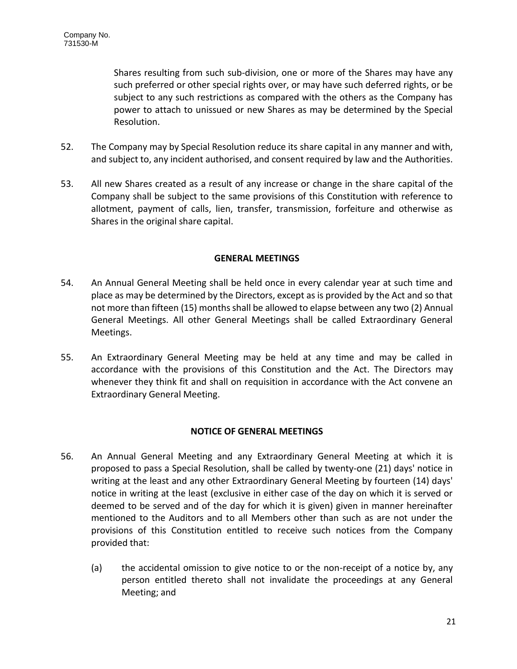Shares resulting from such sub-division, one or more of the Shares may have any such preferred or other special rights over, or may have such deferred rights, or be subject to any such restrictions as compared with the others as the Company has power to attach to unissued or new Shares as may be determined by the Special Resolution.

- 52. The Company may by Special Resolution reduce its share capital in any manner and with, and subject to, any incident authorised, and consent required by law and the Authorities.
- 53. All new Shares created as a result of any increase or change in the share capital of the Company shall be subject to the same provisions of this Constitution with reference to allotment, payment of calls, lien, transfer, transmission, forfeiture and otherwise as Shares in the original share capital.

## **GENERAL MEETINGS**

- 54. An Annual General Meeting shall be held once in every calendar year at such time and place as may be determined by the Directors, except as is provided by the Act and so that not more than fifteen (15) months shall be allowed to elapse between any two (2) Annual General Meetings. All other General Meetings shall be called Extraordinary General Meetings.
- 55. An Extraordinary General Meeting may be held at any time and may be called in accordance with the provisions of this Constitution and the Act. The Directors may whenever they think fit and shall on requisition in accordance with the Act convene an Extraordinary General Meeting.

# **NOTICE OF GENERAL MEETINGS**

- 56. An Annual General Meeting and any Extraordinary General Meeting at which it is proposed to pass a Special Resolution, shall be called by twenty-one (21) days' notice in writing at the least and any other Extraordinary General Meeting by fourteen (14) days' notice in writing at the least (exclusive in either case of the day on which it is served or deemed to be served and of the day for which it is given) given in manner hereinafter mentioned to the Auditors and to all Members other than such as are not under the provisions of this Constitution entitled to receive such notices from the Company provided that:
	- (a) the accidental omission to give notice to or the non-receipt of a notice by, any person entitled thereto shall not invalidate the proceedings at any General Meeting; and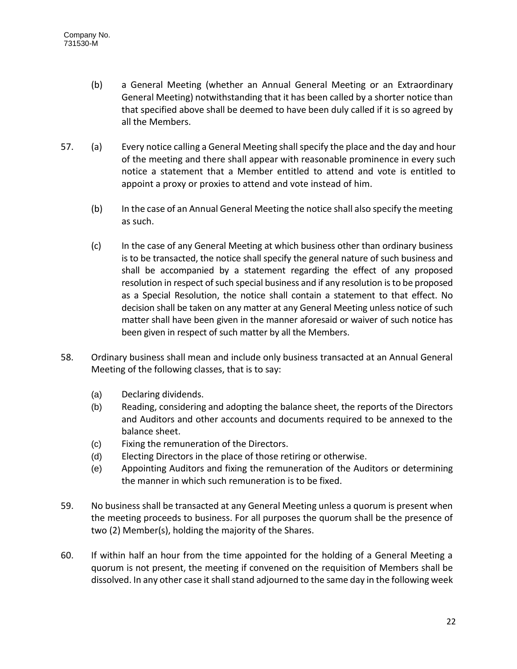- (b) a General Meeting (whether an Annual General Meeting or an Extraordinary General Meeting) notwithstanding that it has been called by a shorter notice than that specified above shall be deemed to have been duly called if it is so agreed by all the Members.
- 57. (a) Every notice calling a General Meeting shall specify the place and the day and hour of the meeting and there shall appear with reasonable prominence in every such notice a statement that a Member entitled to attend and vote is entitled to appoint a proxy or proxies to attend and vote instead of him.
	- (b) In the case of an Annual General Meeting the notice shall also specify the meeting as such.
	- (c) In the case of any General Meeting at which business other than ordinary business is to be transacted, the notice shall specify the general nature of such business and shall be accompanied by a statement regarding the effect of any proposed resolution in respect of such special business and if any resolution is to be proposed as a Special Resolution, the notice shall contain a statement to that effect. No decision shall be taken on any matter at any General Meeting unless notice of such matter shall have been given in the manner aforesaid or waiver of such notice has been given in respect of such matter by all the Members.
- 58. Ordinary business shall mean and include only business transacted at an Annual General Meeting of the following classes, that is to say:
	- (a) Declaring dividends.
	- (b) Reading, considering and adopting the balance sheet, the reports of the Directors and Auditors and other accounts and documents required to be annexed to the balance sheet.
	- (c) Fixing the remuneration of the Directors.
	- (d) Electing Directors in the place of those retiring or otherwise.
	- (e) Appointing Auditors and fixing the remuneration of the Auditors or determining the manner in which such remuneration is to be fixed.
- 59. No business shall be transacted at any General Meeting unless a quorum is present when the meeting proceeds to business. For all purposes the quorum shall be the presence of two (2) Member(s), holding the majority of the Shares.
- 60. If within half an hour from the time appointed for the holding of a General Meeting a quorum is not present, the meeting if convened on the requisition of Members shall be dissolved. In any other case it shall stand adjourned to the same day in the following week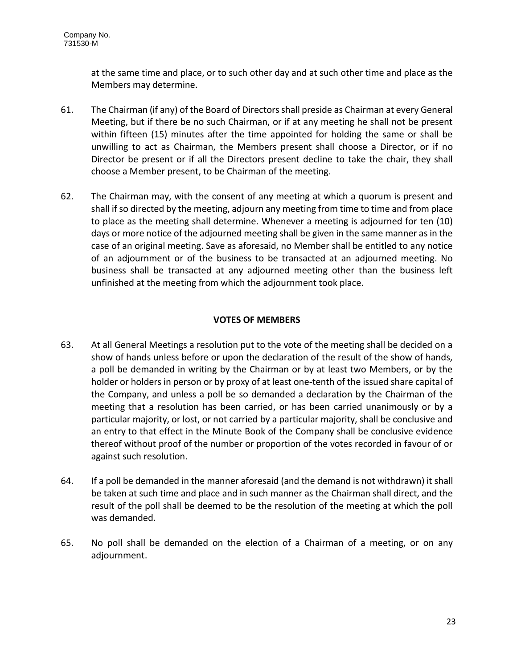at the same time and place, or to such other day and at such other time and place as the Members may determine.

- 61. The Chairman (if any) of the Board of Directors shall preside as Chairman at every General Meeting, but if there be no such Chairman, or if at any meeting he shall not be present within fifteen (15) minutes after the time appointed for holding the same or shall be unwilling to act as Chairman, the Members present shall choose a Director, or if no Director be present or if all the Directors present decline to take the chair, they shall choose a Member present, to be Chairman of the meeting.
- 62. The Chairman may, with the consent of any meeting at which a quorum is present and shall if so directed by the meeting, adjourn any meeting from time to time and from place to place as the meeting shall determine. Whenever a meeting is adjourned for ten (10) days or more notice of the adjourned meeting shall be given in the same manner as in the case of an original meeting. Save as aforesaid, no Member shall be entitled to any notice of an adjournment or of the business to be transacted at an adjourned meeting. No business shall be transacted at any adjourned meeting other than the business left unfinished at the meeting from which the adjournment took place.

# **VOTES OF MEMBERS**

- 63. At all General Meetings a resolution put to the vote of the meeting shall be decided on a show of hands unless before or upon the declaration of the result of the show of hands, a poll be demanded in writing by the Chairman or by at least two Members, or by the holder or holders in person or by proxy of at least one-tenth of the issued share capital of the Company, and unless a poll be so demanded a declaration by the Chairman of the meeting that a resolution has been carried, or has been carried unanimously or by a particular majority, or lost, or not carried by a particular majority, shall be conclusive and an entry to that effect in the Minute Book of the Company shall be conclusive evidence thereof without proof of the number or proportion of the votes recorded in favour of or against such resolution.
- 64. If a poll be demanded in the manner aforesaid (and the demand is not withdrawn) it shall be taken at such time and place and in such manner as the Chairman shall direct, and the result of the poll shall be deemed to be the resolution of the meeting at which the poll was demanded.
- 65. No poll shall be demanded on the election of a Chairman of a meeting, or on any adjournment.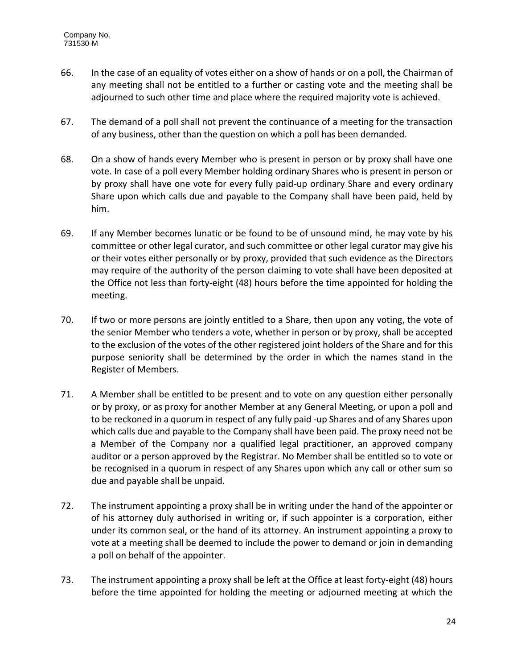- 66. In the case of an equality of votes either on a show of hands or on a poll, the Chairman of any meeting shall not be entitled to a further or casting vote and the meeting shall be adjourned to such other time and place where the required majority vote is achieved.
- 67. The demand of a poll shall not prevent the continuance of a meeting for the transaction of any business, other than the question on which a poll has been demanded.
- 68. On a show of hands every Member who is present in person or by proxy shall have one vote. In case of a poll every Member holding ordinary Shares who is present in person or by proxy shall have one vote for every fully paid-up ordinary Share and every ordinary Share upon which calls due and payable to the Company shall have been paid, held by him.
- 69. If any Member becomes lunatic or be found to be of unsound mind, he may vote by his committee or other legal curator, and such committee or other legal curator may give his or their votes either personally or by proxy, provided that such evidence as the Directors may require of the authority of the person claiming to vote shall have been deposited at the Office not less than forty-eight (48) hours before the time appointed for holding the meeting.
- 70. If two or more persons are jointly entitled to a Share, then upon any voting, the vote of the senior Member who tenders a vote, whether in person or by proxy, shall be accepted to the exclusion of the votes of the other registered joint holders of the Share and for this purpose seniority shall be determined by the order in which the names stand in the Register of Members.
- 71. A Member shall be entitled to be present and to vote on any question either personally or by proxy, or as proxy for another Member at any General Meeting, or upon a poll and to be reckoned in a quorum in respect of any fully paid -up Shares and of any Shares upon which calls due and payable to the Company shall have been paid. The proxy need not be a Member of the Company nor a qualified legal practitioner, an approved company auditor or a person approved by the Registrar. No Member shall be entitled so to vote or be recognised in a quorum in respect of any Shares upon which any call or other sum so due and payable shall be unpaid.
- 72. The instrument appointing a proxy shall be in writing under the hand of the appointer or of his attorney duly authorised in writing or, if such appointer is a corporation, either under its common seal, or the hand of its attorney. An instrument appointing a proxy to vote at a meeting shall be deemed to include the power to demand or join in demanding a poll on behalf of the appointer.
- 73. The instrument appointing a proxy shall be left at the Office at least forty-eight (48) hours before the time appointed for holding the meeting or adjourned meeting at which the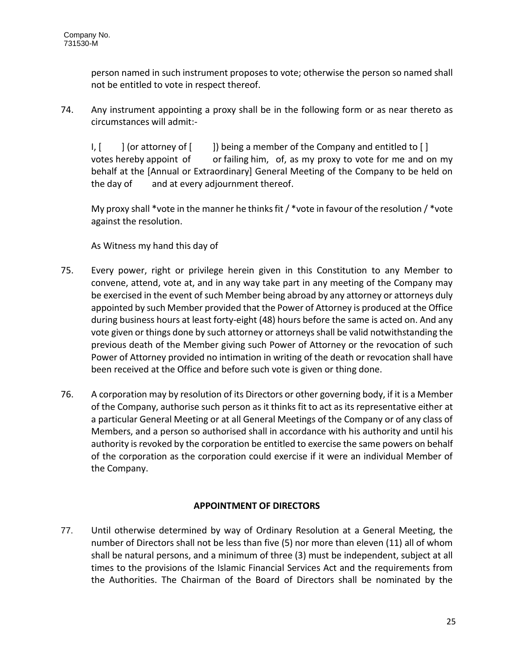person named in such instrument proposes to vote; otherwise the person so named shall not be entitled to vote in respect thereof.

74. Any instrument appointing a proxy shall be in the following form or as near thereto as circumstances will admit:-

I, [ ] (or attorney of [ ]) being a member of the Company and entitled to [] votes hereby appoint of or failing him, of, as my proxy to vote for me and on my behalf at the [Annual or Extraordinary] General Meeting of the Company to be held on the day of and at every adjournment thereof.

My proxy shall \*vote in the manner he thinks fit / \*vote in favour of the resolution / \*vote against the resolution.

As Witness my hand this day of

- 75. Every power, right or privilege herein given in this Constitution to any Member to convene, attend, vote at, and in any way take part in any meeting of the Company may be exercised in the event of such Member being abroad by any attorney or attorneys duly appointed by such Member provided that the Power of Attorney is produced at the Office during business hours at least forty-eight (48) hours before the same is acted on. And any vote given or things done by such attorney or attorneys shall be valid notwithstanding the previous death of the Member giving such Power of Attorney or the revocation of such Power of Attorney provided no intimation in writing of the death or revocation shall have been received at the Office and before such vote is given or thing done.
- 76. A corporation may by resolution of its Directors or other governing body, if it is a Member of the Company, authorise such person as it thinks fit to act as its representative either at a particular General Meeting or at all General Meetings of the Company or of any class of Members, and a person so authorised shall in accordance with his authority and until his authority is revoked by the corporation be entitled to exercise the same powers on behalf of the corporation as the corporation could exercise if it were an individual Member of the Company.

# **APPOINTMENT OF DIRECTORS**

77. Until otherwise determined by way of Ordinary Resolution at a General Meeting, the number of Directors shall not be less than five (5) nor more than eleven (11) all of whom shall be natural persons, and a minimum of three (3) must be independent, subject at all times to the provisions of the Islamic Financial Services Act and the requirements from the Authorities. The Chairman of the Board of Directors shall be nominated by the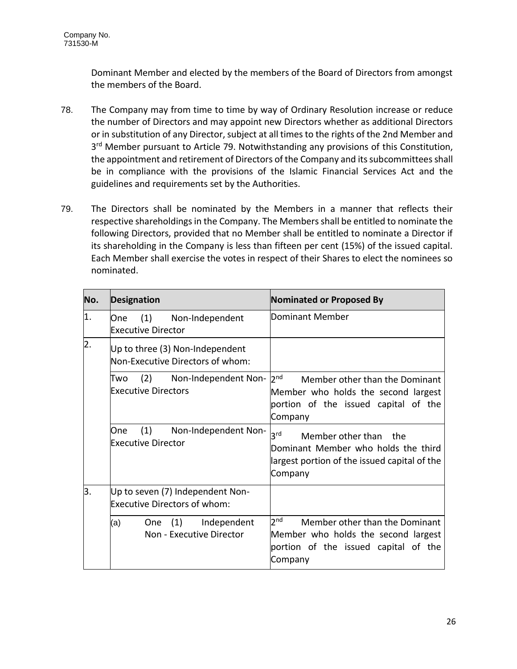Dominant Member and elected by the members of the Board of Directors from amongst the members of the Board.

- 78. The Company may from time to time by way of Ordinary Resolution increase or reduce the number of Directors and may appoint new Directors whether as additional Directors or in substitution of any Director, subject at all times to the rights of the 2nd Member and 3<sup>rd</sup> Member pursuant to Article 79. Notwithstanding any provisions of this Constitution, the appointment and retirement of Directors of the Company and its subcommittees shall be in compliance with the provisions of the Islamic Financial Services Act and the guidelines and requirements set by the Authorities.
- 79. The Directors shall be nominated by the Members in a manner that reflects their respective shareholdings in the Company. The Members shall be entitled to nominate the following Directors, provided that no Member shall be entitled to nominate a Director if its shareholding in the Company is less than fifteen per cent (15%) of the issued capital. Each Member shall exercise the votes in respect of their Shares to elect the nominees so nominated.

| No.              | <b>Designation</b>                                                      | <b>Nominated or Proposed By</b>                                                                                                             |  |
|------------------|-------------------------------------------------------------------------|---------------------------------------------------------------------------------------------------------------------------------------------|--|
| 1.               | (1) Non-Independent<br>One<br><b>Executive Director</b>                 | <b>Dominant Member</b>                                                                                                                      |  |
| $\overline{2}$ . | Up to three (3) Non-Independent<br>Non-Executive Directors of whom:     |                                                                                                                                             |  |
|                  | (2) Non-Independent Non-<br>Two<br><b>Executive Directors</b>           | 2 <sub>nd</sub><br>Member other than the Dominant<br>Member who holds the second largest<br>portion of the issued capital of the<br>Company |  |
|                  | (1) Non-Independent Non-<br>One.<br><b>Executive Director</b>           | 3 <sup>rd</sup><br>Member other than the<br>Dominant Member who holds the third<br>largest portion of the issued capital of the<br>Company  |  |
| З.               | Up to seven (7) Independent Non-<br><b>Executive Directors of whom:</b> |                                                                                                                                             |  |
|                  | (1)<br>Independent<br>(a)<br><b>One</b><br>Non - Executive Director     | 2 <sup>nd</sup><br>Member other than the Dominant<br>Member who holds the second largest<br>portion of the issued capital of the<br>Company |  |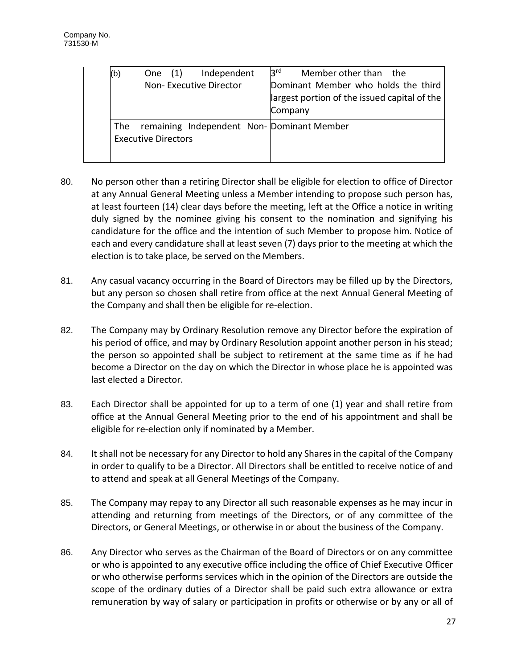| (b) | One $(1)$<br>Independent                                                | 3 <sup>rd</sup><br>Member other than the                                                       |
|-----|-------------------------------------------------------------------------|------------------------------------------------------------------------------------------------|
|     | Non-Executive Director                                                  | Dominant Member who holds the third<br>largest portion of the issued capital of the<br>Company |
| The | remaining Independent Non-Dominant Member<br><b>Executive Directors</b> |                                                                                                |

- 80. No person other than a retiring Director shall be eligible for election to office of Director at any Annual General Meeting unless a Member intending to propose such person has, at least fourteen (14) clear days before the meeting, left at the Office a notice in writing duly signed by the nominee giving his consent to the nomination and signifying his candidature for the office and the intention of such Member to propose him. Notice of each and every candidature shall at least seven (7) days prior to the meeting at which the election is to take place, be served on the Members.
- 81. Any casual vacancy occurring in the Board of Directors may be filled up by the Directors, but any person so chosen shall retire from office at the next Annual General Meeting of the Company and shall then be eligible for re-election.
- 82. The Company may by Ordinary Resolution remove any Director before the expiration of his period of office, and may by Ordinary Resolution appoint another person in his stead; the person so appointed shall be subject to retirement at the same time as if he had become a Director on the day on which the Director in whose place he is appointed was last elected a Director.
- 83. Each Director shall be appointed for up to a term of one (1) year and shall retire from office at the Annual General Meeting prior to the end of his appointment and shall be eligible for re-election only if nominated by a Member.
- 84. It shall not be necessary for any Director to hold any Shares in the capital of the Company in order to qualify to be a Director. All Directors shall be entitled to receive notice of and to attend and speak at all General Meetings of the Company.
- 85. The Company may repay to any Director all such reasonable expenses as he may incur in attending and returning from meetings of the Directors, or of any committee of the Directors, or General Meetings, or otherwise in or about the business of the Company.
- 86. Any Director who serves as the Chairman of the Board of Directors or on any committee or who is appointed to any executive office including the office of Chief Executive Officer or who otherwise performs services which in the opinion of the Directors are outside the scope of the ordinary duties of a Director shall be paid such extra allowance or extra remuneration by way of salary or participation in profits or otherwise or by any or all of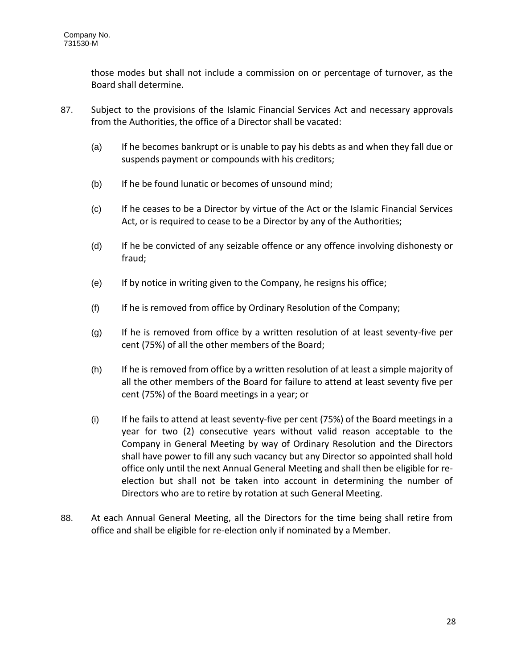those modes but shall not include a commission on or percentage of turnover, as the Board shall determine.

- 87. Subject to the provisions of the Islamic Financial Services Act and necessary approvals from the Authorities, the office of a Director shall be vacated:
	- (a) If he becomes bankrupt or is unable to pay his debts as and when they fall due or suspends payment or compounds with his creditors;
	- (b) If he be found lunatic or becomes of unsound mind;
	- (c) If he ceases to be a Director by virtue of the Act or the Islamic Financial Services Act, or is required to cease to be a Director by any of the Authorities;
	- (d) If he be convicted of any seizable offence or any offence involving dishonesty or fraud;
	- (e) If by notice in writing given to the Company, he resigns his office;
	- (f) If he is removed from office by Ordinary Resolution of the Company;
	- (g) If he is removed from office by a written resolution of at least seventy-five per cent (75%) of all the other members of the Board;
	- (h) If he is removed from office by a written resolution of at least a simple majority of all the other members of the Board for failure to attend at least seventy five per cent (75%) of the Board meetings in a year; or
	- (i) If he fails to attend at least seventy-five per cent (75%) of the Board meetings in a year for two (2) consecutive years without valid reason acceptable to the Company in General Meeting by way of Ordinary Resolution and the Directors shall have power to fill any such vacancy but any Director so appointed shall hold office only until the next Annual General Meeting and shall then be eligible for reelection but shall not be taken into account in determining the number of Directors who are to retire by rotation at such General Meeting.
- 88. At each Annual General Meeting, all the Directors for the time being shall retire from office and shall be eligible for re-election only if nominated by a Member.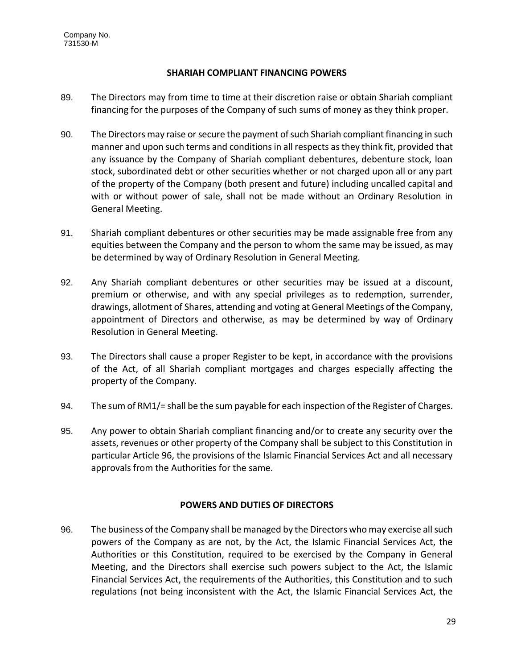# **SHARIAH COMPLIANT FINANCING POWERS**

- 89. The Directors may from time to time at their discretion raise or obtain Shariah compliant financing for the purposes of the Company of such sums of money as they think proper.
- 90. The Directors may raise or secure the payment of such Shariah compliant financing in such manner and upon such terms and conditions in all respects as they think fit, provided that any issuance by the Company of Shariah compliant debentures, debenture stock, loan stock, subordinated debt or other securities whether or not charged upon all or any part of the property of the Company (both present and future) including uncalled capital and with or without power of sale, shall not be made without an Ordinary Resolution in General Meeting.
- 91. Shariah compliant debentures or other securities may be made assignable free from any equities between the Company and the person to whom the same may be issued, as may be determined by way of Ordinary Resolution in General Meeting.
- 92. Any Shariah compliant debentures or other securities may be issued at a discount, premium or otherwise, and with any special privileges as to redemption, surrender, drawings, allotment of Shares, attending and voting at General Meetings of the Company, appointment of Directors and otherwise, as may be determined by way of Ordinary Resolution in General Meeting.
- 93. The Directors shall cause a proper Register to be kept, in accordance with the provisions of the Act, of all Shariah compliant mortgages and charges especially affecting the property of the Company.
- 94. The sum of RM1/= shall be the sum payable for each inspection of the Register of Charges.
- 95. Any power to obtain Shariah compliant financing and/or to create any security over the assets, revenues or other property of the Company shall be subject to this Constitution in particular Article 96, the provisions of the Islamic Financial Services Act and all necessary approvals from the Authorities for the same.

# **POWERS AND DUTIES OF DIRECTORS**

96. The business of the Company shall be managed by the Directors who may exercise all such powers of the Company as are not, by the Act, the Islamic Financial Services Act, the Authorities or this Constitution, required to be exercised by the Company in General Meeting, and the Directors shall exercise such powers subject to the Act, the Islamic Financial Services Act, the requirements of the Authorities, this Constitution and to such regulations (not being inconsistent with the Act, the Islamic Financial Services Act, the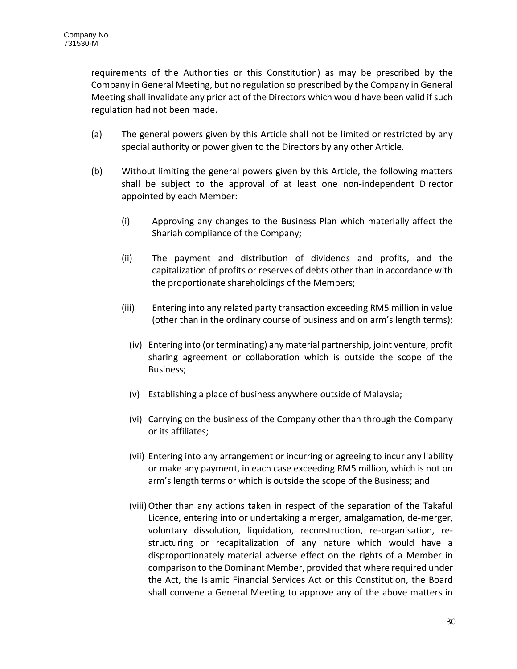requirements of the Authorities or this Constitution) as may be prescribed by the Company in General Meeting, but no regulation so prescribed by the Company in General Meeting shall invalidate any prior act of the Directors which would have been valid if such regulation had not been made.

- (a) The general powers given by this Article shall not be limited or restricted by any special authority or power given to the Directors by any other Article.
- (b) Without limiting the general powers given by this Article, the following matters shall be subject to the approval of at least one non-independent Director appointed by each Member:
	- (i) Approving any changes to the Business Plan which materially affect the Shariah compliance of the Company;
	- (ii) The payment and distribution of dividends and profits, and the capitalization of profits or reserves of debts other than in accordance with the proportionate shareholdings of the Members;
	- (iii) Entering into any related party transaction exceeding RM5 million in value (other than in the ordinary course of business and on arm's length terms);
		- (iv) Entering into (or terminating) any material partnership, joint venture, profit sharing agreement or collaboration which is outside the scope of the Business;
		- (v) Establishing a place of business anywhere outside of Malaysia;
		- (vi) Carrying on the business of the Company other than through the Company or its affiliates;
		- (vii) Entering into any arrangement or incurring or agreeing to incur any liability or make any payment, in each case exceeding RM5 million, which is not on arm's length terms or which is outside the scope of the Business; and
		- (viii)Other than any actions taken in respect of the separation of the Takaful Licence, entering into or undertaking a merger, amalgamation, de-merger, voluntary dissolution, liquidation, reconstruction, re-organisation, restructuring or recapitalization of any nature which would have a disproportionately material adverse effect on the rights of a Member in comparison to the Dominant Member, provided that where required under the Act, the Islamic Financial Services Act or this Constitution, the Board shall convene a General Meeting to approve any of the above matters in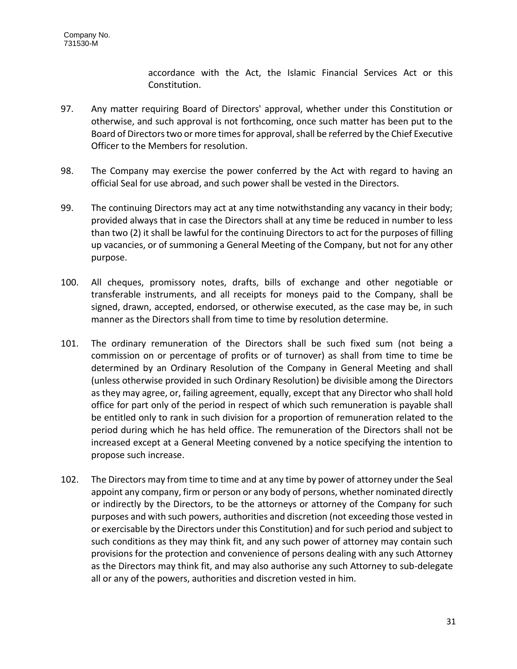accordance with the Act, the Islamic Financial Services Act or this Constitution.

- 97. Any matter requiring Board of Directors' approval, whether under this Constitution or otherwise, and such approval is not forthcoming, once such matter has been put to the Board of Directors two or more times for approval, shall be referred by the Chief Executive Officer to the Members for resolution.
- 98. The Company may exercise the power conferred by the Act with regard to having an official Seal for use abroad, and such power shall be vested in the Directors.
- 99. The continuing Directors may act at any time notwithstanding any vacancy in their body; provided always that in case the Directors shall at any time be reduced in number to less than two (2) it shall be lawful for the continuing Directors to act for the purposes of filling up vacancies, or of summoning a General Meeting of the Company, but not for any other purpose.
- 100. All cheques, promissory notes, drafts, bills of exchange and other negotiable or transferable instruments, and all receipts for moneys paid to the Company, shall be signed, drawn, accepted, endorsed, or otherwise executed, as the case may be, in such manner as the Directors shall from time to time by resolution determine.
- 101. The ordinary remuneration of the Directors shall be such fixed sum (not being a commission on or percentage of profits or of turnover) as shall from time to time be determined by an Ordinary Resolution of the Company in General Meeting and shall (unless otherwise provided in such Ordinary Resolution) be divisible among the Directors as they may agree, or, failing agreement, equally, except that any Director who shall hold office for part only of the period in respect of which such remuneration is payable shall be entitled only to rank in such division for a proportion of remuneration related to the period during which he has held office. The remuneration of the Directors shall not be increased except at a General Meeting convened by a notice specifying the intention to propose such increase.
- 102. The Directors may from time to time and at any time by power of attorney under the Seal appoint any company, firm or person or any body of persons, whether nominated directly or indirectly by the Directors, to be the attorneys or attorney of the Company for such purposes and with such powers, authorities and discretion (not exceeding those vested in or exercisable by the Directors under this Constitution) and for such period and subject to such conditions as they may think fit, and any such power of attorney may contain such provisions for the protection and convenience of persons dealing with any such Attorney as the Directors may think fit, and may also authorise any such Attorney to sub-delegate all or any of the powers, authorities and discretion vested in him.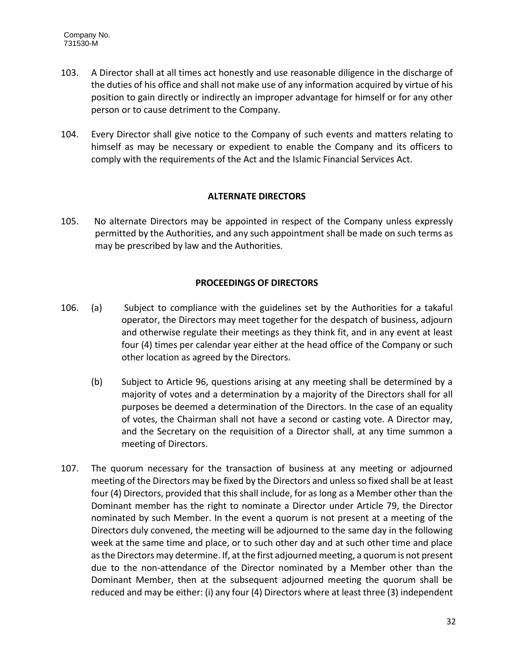- 103. A Director shall at all times act honestly and use reasonable diligence in the discharge of the duties of his office and shall not make use of any information acquired by virtue of his position to gain directly or indirectly an improper advantage for himself or for any other person or to cause detriment to the Company.
- 104. Every Director shall give notice to the Company of such events and matters relating to himself as may be necessary or expedient to enable the Company and its officers to comply with the requirements of the Act and the Islamic Financial Services Act.

## **ALTERNATE DIRECTORS**

105. No alternate Directors may be appointed in respect of the Company unless expressly permitted by the Authorities, and any such appointment shall be made on such terms as may be prescribed by law and the Authorities.

# **PROCEEDINGS OF DIRECTORS**

- 106. (a) Subject to compliance with the guidelines set by the Authorities for a takaful operator, the Directors may meet together for the despatch of business, adjourn and otherwise regulate their meetings as they think fit, and in any event at least four (4) times per calendar year either at the head office of the Company or such other location as agreed by the Directors.
	- (b) Subject to Article 96, questions arising at any meeting shall be determined by a majority of votes and a determination by a majority of the Directors shall for all purposes be deemed a determination of the Directors. In the case of an equality of votes, the Chairman shall not have a second or casting vote. A Director may, and the Secretary on the requisition of a Director shall, at any time summon a meeting of Directors.
- 107. The quorum necessary for the transaction of business at any meeting or adjourned meeting of the Directors may be fixed by the Directors and unless so fixed shall be at least four (4) Directors, provided that this shall include, for as long as a Member other than the Dominant member has the right to nominate a Director under Article 79, the Director nominated by such Member. In the event a quorum is not present at a meeting of the Directors duly convened, the meeting will be adjourned to the same day in the following week at the same time and place, or to such other day and at such other time and place as the Directors may determine. If, at the first adjourned meeting, a quorum is not present due to the non-attendance of the Director nominated by a Member other than the Dominant Member, then at the subsequent adjourned meeting the quorum shall be reduced and may be either: (i) any four (4) Directors where at least three (3) independent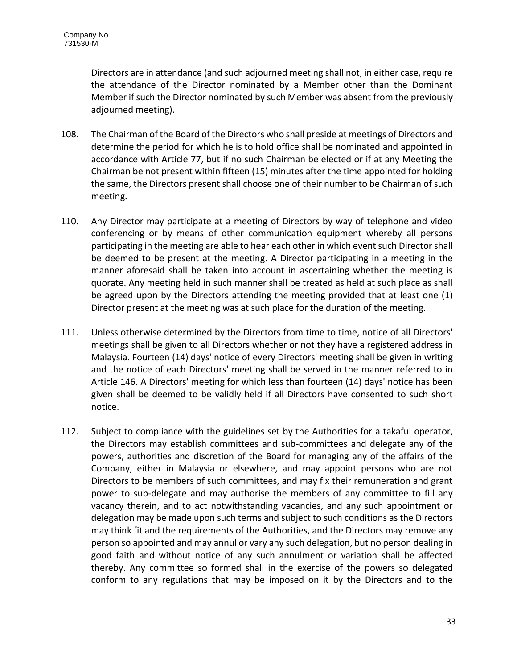Directors are in attendance (and such adjourned meeting shall not, in either case, require the attendance of the Director nominated by a Member other than the Dominant Member if such the Director nominated by such Member was absent from the previously adjourned meeting).

- 108. The Chairman of the Board of the Directors who shall preside at meetings of Directors and determine the period for which he is to hold office shall be nominated and appointed in accordance with Article 77, but if no such Chairman be elected or if at any Meeting the Chairman be not present within fifteen (15) minutes after the time appointed for holding the same, the Directors present shall choose one of their number to be Chairman of such meeting.
- 110. Any Director may participate at a meeting of Directors by way of telephone and video conferencing or by means of other communication equipment whereby all persons participating in the meeting are able to hear each other in which event such Director shall be deemed to be present at the meeting. A Director participating in a meeting in the manner aforesaid shall be taken into account in ascertaining whether the meeting is quorate. Any meeting held in such manner shall be treated as held at such place as shall be agreed upon by the Directors attending the meeting provided that at least one (1) Director present at the meeting was at such place for the duration of the meeting.
- 111. Unless otherwise determined by the Directors from time to time, notice of all Directors' meetings shall be given to all Directors whether or not they have a registered address in Malaysia. Fourteen (14) days' notice of every Directors' meeting shall be given in writing and the notice of each Directors' meeting shall be served in the manner referred to in Article 146. A Directors' meeting for which less than fourteen (14) days' notice has been given shall be deemed to be validly held if all Directors have consented to such short notice.
- 112. Subject to compliance with the guidelines set by the Authorities for a takaful operator, the Directors may establish committees and sub-committees and delegate any of the powers, authorities and discretion of the Board for managing any of the affairs of the Company, either in Malaysia or elsewhere, and may appoint persons who are not Directors to be members of such committees, and may fix their remuneration and grant power to sub-delegate and may authorise the members of any committee to fill any vacancy therein, and to act notwithstanding vacancies, and any such appointment or delegation may be made upon such terms and subject to such conditions as the Directors may think fit and the requirements of the Authorities, and the Directors may remove any person so appointed and may annul or vary any such delegation, but no person dealing in good faith and without notice of any such annulment or variation shall be affected thereby. Any committee so formed shall in the exercise of the powers so delegated conform to any regulations that may be imposed on it by the Directors and to the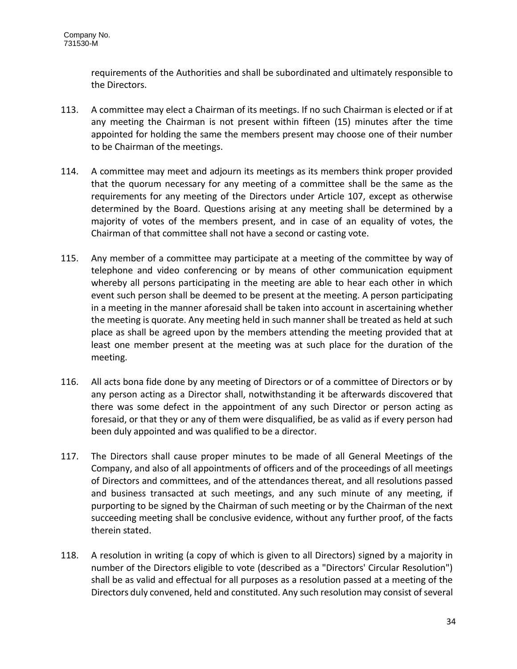requirements of the Authorities and shall be subordinated and ultimately responsible to the Directors.

- 113. A committee may elect a Chairman of its meetings. If no such Chairman is elected or if at any meeting the Chairman is not present within fifteen (15) minutes after the time appointed for holding the same the members present may choose one of their number to be Chairman of the meetings.
- 114. A committee may meet and adjourn its meetings as its members think proper provided that the quorum necessary for any meeting of a committee shall be the same as the requirements for any meeting of the Directors under Article 107, except as otherwise determined by the Board. Questions arising at any meeting shall be determined by a majority of votes of the members present, and in case of an equality of votes, the Chairman of that committee shall not have a second or casting vote.
- 115. Any member of a committee may participate at a meeting of the committee by way of telephone and video conferencing or by means of other communication equipment whereby all persons participating in the meeting are able to hear each other in which event such person shall be deemed to be present at the meeting. A person participating in a meeting in the manner aforesaid shall be taken into account in ascertaining whether the meeting is quorate. Any meeting held in such manner shall be treated as held at such place as shall be agreed upon by the members attending the meeting provided that at least one member present at the meeting was at such place for the duration of the meeting.
- 116. All acts bona fide done by any meeting of Directors or of a committee of Directors or by any person acting as a Director shall, notwithstanding it be afterwards discovered that there was some defect in the appointment of any such Director or person acting as foresaid, or that they or any of them were disqualified, be as valid as if every person had been duly appointed and was qualified to be a director.
- 117. The Directors shall cause proper minutes to be made of all General Meetings of the Company, and also of all appointments of officers and of the proceedings of all meetings of Directors and committees, and of the attendances thereat, and all resolutions passed and business transacted at such meetings, and any such minute of any meeting, if purporting to be signed by the Chairman of such meeting or by the Chairman of the next succeeding meeting shall be conclusive evidence, without any further proof, of the facts therein stated.
- 118. A resolution in writing (a copy of which is given to all Directors) signed by a majority in number of the Directors eligible to vote (described as a "Directors' Circular Resolution") shall be as valid and effectual for all purposes as a resolution passed at a meeting of the Directors duly convened, held and constituted. Any such resolution may consist of several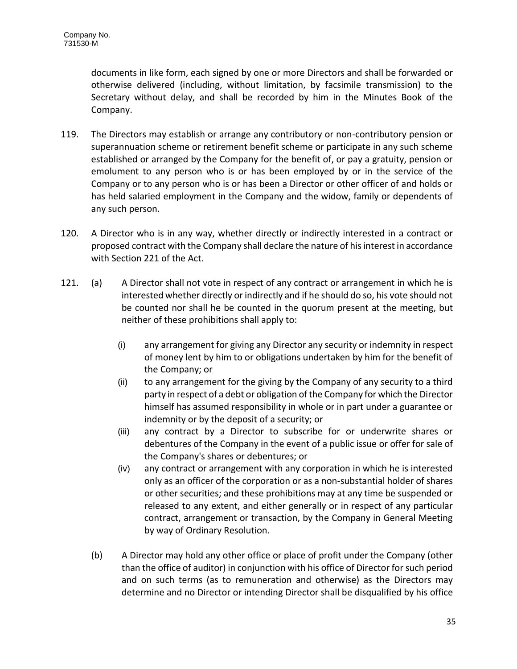documents in like form, each signed by one or more Directors and shall be forwarded or otherwise delivered (including, without limitation, by facsimile transmission) to the Secretary without delay, and shall be recorded by him in the Minutes Book of the Company.

- 119. The Directors may establish or arrange any contributory or non-contributory pension or superannuation scheme or retirement benefit scheme or participate in any such scheme established or arranged by the Company for the benefit of, or pay a gratuity, pension or emolument to any person who is or has been employed by or in the service of the Company or to any person who is or has been a Director or other officer of and holds or has held salaried employment in the Company and the widow, family or dependents of any such person.
- 120. A Director who is in any way, whether directly or indirectly interested in a contract or proposed contract with the Company shall declare the nature of his interest in accordance with Section 221 of the Act.
- 121. (a) A Director shall not vote in respect of any contract or arrangement in which he is interested whether directly or indirectly and if he should do so, his vote should not be counted nor shall he be counted in the quorum present at the meeting, but neither of these prohibitions shall apply to:
	- (i) any arrangement for giving any Director any security or indemnity in respect of money lent by him to or obligations undertaken by him for the benefit of the Company; or
	- (ii) to any arrangement for the giving by the Company of any security to a third party in respect of a debt or obligation of the Company for which the Director himself has assumed responsibility in whole or in part under a guarantee or indemnity or by the deposit of a security; or
	- (iii) any contract by a Director to subscribe for or underwrite shares or debentures of the Company in the event of a public issue or offer for sale of the Company's shares or debentures; or
	- (iv) any contract or arrangement with any corporation in which he is interested only as an officer of the corporation or as a non-substantial holder of shares or other securities; and these prohibitions may at any time be suspended or released to any extent, and either generally or in respect of any particular contract, arrangement or transaction, by the Company in General Meeting by way of Ordinary Resolution.
	- (b) A Director may hold any other office or place of profit under the Company (other than the office of auditor) in conjunction with his office of Director for such period and on such terms (as to remuneration and otherwise) as the Directors may determine and no Director or intending Director shall be disqualified by his office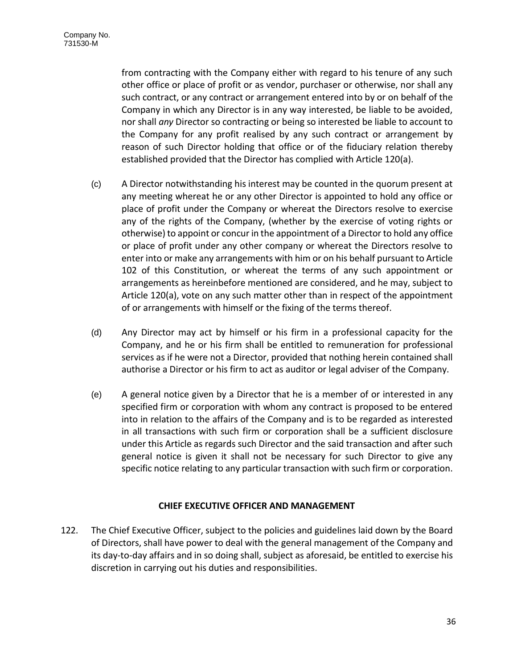from contracting with the Company either with regard to his tenure of any such other office or place of profit or as vendor, purchaser or otherwise, nor shall any such contract, or any contract or arrangement entered into by or on behalf of the Company in which any Director is in any way interested, be liable to be avoided, nor shall *any* Director so contracting or being so interested be liable to account to the Company for any profit realised by any such contract or arrangement by reason of such Director holding that office or of the fiduciary relation thereby established provided that the Director has complied with Article 120(a).

- (c) A Director notwithstanding his interest may be counted in the quorum present at any meeting whereat he or any other Director is appointed to hold any office or place of profit under the Company or whereat the Directors resolve to exercise any of the rights of the Company, (whether by the exercise of voting rights or otherwise) to appoint or concur in the appointment of a Director to hold any office or place of profit under any other company or whereat the Directors resolve to enter into or make any arrangements with him or on his behalf pursuant to Article 102 of this Constitution, or whereat the terms of any such appointment or arrangements as hereinbefore mentioned are considered, and he may, subject to Article 120(a), vote on any such matter other than in respect of the appointment of or arrangements with himself or the fixing of the terms thereof.
- (d) Any Director may act by himself or his firm in a professional capacity for the Company, and he or his firm shall be entitled to remuneration for professional services as if he were not a Director, provided that nothing herein contained shall authorise a Director or his firm to act as auditor or legal adviser of the Company.
- (e) A general notice given by a Director that he is a member of or interested in any specified firm or corporation with whom any contract is proposed to be entered into in relation to the affairs of the Company and is to be regarded as interested in all transactions with such firm or corporation shall be a sufficient disclosure under this Article as regards such Director and the said transaction and after such general notice is given it shall not be necessary for such Director to give any specific notice relating to any particular transaction with such firm or corporation.

# **CHIEF EXECUTIVE OFFICER AND MANAGEMENT**

122. The Chief Executive Officer, subject to the policies and guidelines laid down by the Board of Directors, shall have power to deal with the general management of the Company and its day-to-day affairs and in so doing shall, subject as aforesaid, be entitled to exercise his discretion in carrying out his duties and responsibilities.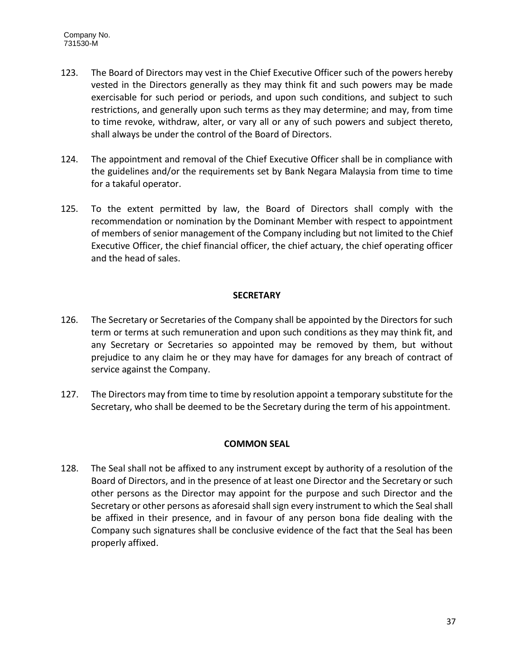- 123. The Board of Directors may vest in the Chief Executive Officer such of the powers hereby vested in the Directors generally as they may think fit and such powers may be made exercisable for such period or periods, and upon such conditions, and subject to such restrictions, and generally upon such terms as they may determine; and may, from time to time revoke, withdraw, alter, or vary all or any of such powers and subject thereto, shall always be under the control of the Board of Directors.
- 124. The appointment and removal of the Chief Executive Officer shall be in compliance with the guidelines and/or the requirements set by Bank Negara Malaysia from time to time for a takaful operator.
- 125. To the extent permitted by law, the Board of Directors shall comply with the recommendation or nomination by the Dominant Member with respect to appointment of members of senior management of the Company including but not limited to the Chief Executive Officer, the chief financial officer, the chief actuary, the chief operating officer and the head of sales.

# **SECRETARY**

- 126. The Secretary or Secretaries of the Company shall be appointed by the Directors for such term or terms at such remuneration and upon such conditions as they may think fit, and any Secretary or Secretaries so appointed may be removed by them, but without prejudice to any claim he or they may have for damages for any breach of contract of service against the Company.
- 127. The Directors may from time to time by resolution appoint a temporary substitute for the Secretary, who shall be deemed to be the Secretary during the term of his appointment.

# **COMMON SEAL**

128. The Seal shall not be affixed to any instrument except by authority of a resolution of the Board of Directors, and in the presence of at least one Director and the Secretary or such other persons as the Director may appoint for the purpose and such Director and the Secretary or other persons as aforesaid shall sign every instrument to which the Seal shall be affixed in their presence, and in favour of any person bona fide dealing with the Company such signatures shall be conclusive evidence of the fact that the Seal has been properly affixed.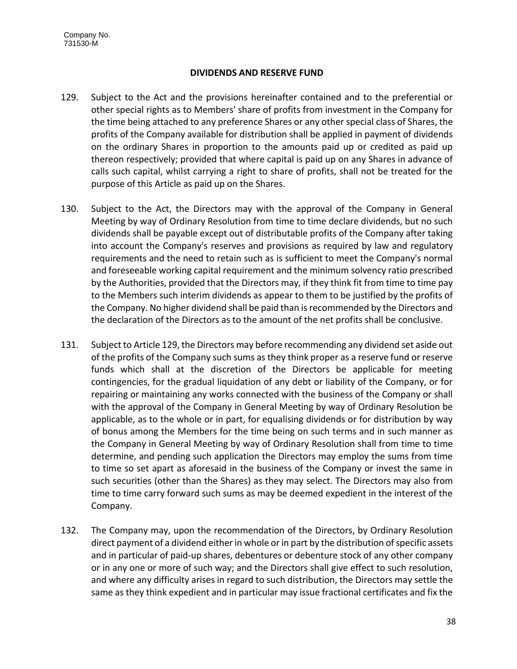## **DIVIDENDS AND RESERVE FUND**

- 129. Subject to the Act and the provisions hereinafter contained and to the preferential or other special rights as to Members' share of profits from investment in the Company for the time being attached to any preference Shares or any other special class of Shares, the profits of the Company available for distribution shall be applied in payment of dividends on the ordinary Shares in proportion to the amounts paid up or credited as paid up thereon respectively; provided that where capital is paid up on any Shares in advance of calls such capital, whilst carrying a right to share of profits, shall not be treated for the purpose of this Article as paid up on the Shares.
- 130. Subject to the Act, the Directors may with the approval of the Company in General Meeting by way of Ordinary Resolution from time to time declare dividends, but no such dividends shall be payable except out of distributable profits of the Company after taking into account the Company's reserves and provisions as required by law and regulatory requirements and the need to retain such as is sufficient to meet the Company's normal and foreseeable working capital requirement and the minimum solvency ratio prescribed by the Authorities, provided that the Directors may, if they think fit from time to time pay to the Members such interim dividends as appear to them to be justified by the profits of the Company. No higher dividend shall be paid than is recommended by the Directors and the declaration of the Directors as to the amount of the net profits shall be conclusive.
- 131. Subject to Article 129, the Directors may before recommending any dividend set aside out of the profits of the Company such sums as they think proper as a reserve fund or reserve funds which shall at the discretion of the Directors be applicable for meeting contingencies, for the gradual liquidation of any debt or liability of the Company, or for repairing or maintaining any works connected with the business of the Company or shall with the approval of the Company in General Meeting by way of Ordinary Resolution be applicable, as to the whole or in part, for equalising dividends or for distribution by way of bonus among the Members for the time being on such terms and in such manner as the Company in General Meeting by way of Ordinary Resolution shall from time to time determine, and pending such application the Directors may employ the sums from time to time so set apart as aforesaid in the business of the Company or invest the same in such securities (other than the Shares) as they may select. The Directors may also from time to time carry forward such sums as may be deemed expedient in the interest of the Company.
- 132. The Company may, upon the recommendation of the Directors, by Ordinary Resolution direct payment of a dividend either in whole or in part by the distribution of specific assets and in particular of paid-up shares, debentures or debenture stock of any other company or in any one or more of such way; and the Directors shall give effect to such resolution, and where any difficulty arises in regard to such distribution, the Directors may settle the same as they think expedient and in particular may issue fractional certificates and fix the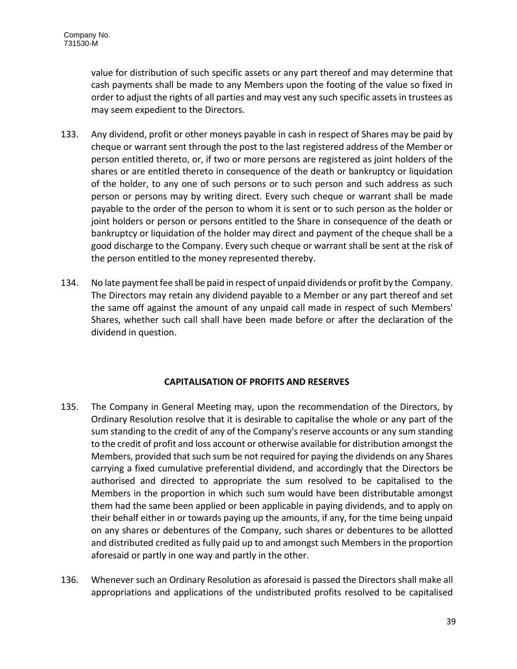value for distribution of such specific assets or any part thereof and may determine that cash payments shall be made to any Members upon the footing of the value so fixed in order to adjust the rights of all parties and may vest any such specific assets in trustees as may seem expedient to the Directors.

- 133. Any dividend, profit or other moneys payable in cash in respect of Shares may be paid by cheque or warrant sent through the post to the last registered address of the Member or person entitled thereto, or, if two or more persons are registered as joint holders of the shares or are entitled thereto in consequence of the death or bankruptcy or liquidation of the holder, to any one of such persons or to such person and such address as such person or persons may by writing direct. Every such cheque or warrant shall be made payable to the order of the person to whom it is sent or to such person as the holder or joint holders or person or persons entitled to the Share in consequence of the death or bankruptcy or liquidation of the holder may direct and payment of the cheque shall be a good discharge to the Company. Every such cheque or warrant shall be sent at the risk of the person entitled to the money represented thereby.
- 134. No late payment fee shall be paid in respect of unpaid dividends or profit by the Company. The Directors may retain any dividend payable to a Member or any part thereof and set the same off against the amount of any unpaid call made in respect of such Members' Shares, whether such call shall have been made before or after the declaration of the dividend in question.

# **CAPITALISATION OF PROFITS AND RESERVES**

- 135. The Company in General Meeting may, upon the recommendation of the Directors, by Ordinary Resolution resolve that it is desirable to capitalise the whole or any part of the sum standing to the credit of any of the Company's reserve accounts or any sum standing to the credit of profit and loss account or otherwise available for distribution amongst the Members, provided that such sum be not required for paying the dividends on any Shares carrying a fixed cumulative preferential dividend, and accordingly that the Directors be authorised and directed to appropriate the sum resolved to be capitalised to the Members in the proportion in which such sum would have been distributable amongst them had the same been applied or been applicable in paying dividends, and to apply on their behalf either in or towards paying up the amounts, if any, for the time being unpaid on any shares or debentures of the Company, such shares or debentures to be allotted and distributed credited as fully paid up to and amongst such Members in the proportion aforesaid or partly in one way and partly in the other.
- 136. Whenever such an Ordinary Resolution as aforesaid is passed the Directors shall make all appropriations and applications of the undistributed profits resolved to be capitalised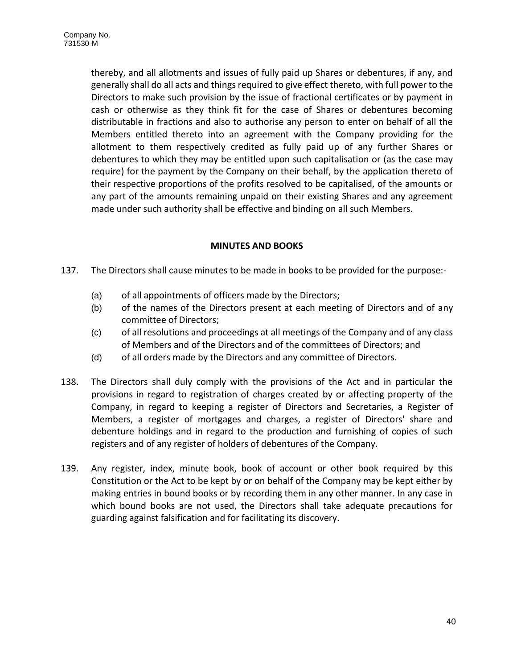thereby, and all allotments and issues of fully paid up Shares or debentures, if any, and generally shall do all acts and things required to give effect thereto, with full power to the Directors to make such provision by the issue of fractional certificates or by payment in cash or otherwise as they think fit for the case of Shares or debentures becoming distributable in fractions and also to authorise any person to enter on behalf of all the Members entitled thereto into an agreement with the Company providing for the allotment to them respectively credited as fully paid up of any further Shares or debentures to which they may be entitled upon such capitalisation or (as the case may require) for the payment by the Company on their behalf, by the application thereto of their respective proportions of the profits resolved to be capitalised, of the amounts or any part of the amounts remaining unpaid on their existing Shares and any agreement made under such authority shall be effective and binding on all such Members.

# **MINUTES AND BOOKS**

- 137. The Directors shall cause minutes to be made in books to be provided for the purpose:-
	- (a) of all appointments of officers made by the Directors;
	- (b) of the names of the Directors present at each meeting of Directors and of any committee of Directors;
	- (c) of all resolutions and proceedings at all meetings of the Company and of any class of Members and of the Directors and of the committees of Directors; and
	- (d) of all orders made by the Directors and any committee of Directors.
- 138. The Directors shall duly comply with the provisions of the Act and in particular the provisions in regard to registration of charges created by or affecting property of the Company, in regard to keeping a register of Directors and Secretaries, a Register of Members, a register of mortgages and charges, a register of Directors' share and debenture holdings and in regard to the production and furnishing of copies of such registers and of any register of holders of debentures of the Company.
- 139. Any register, index, minute book, book of account or other book required by this Constitution or the Act to be kept by or on behalf of the Company may be kept either by making entries in bound books or by recording them in any other manner. In any case in which bound books are not used, the Directors shall take adequate precautions for guarding against falsification and for facilitating its discovery.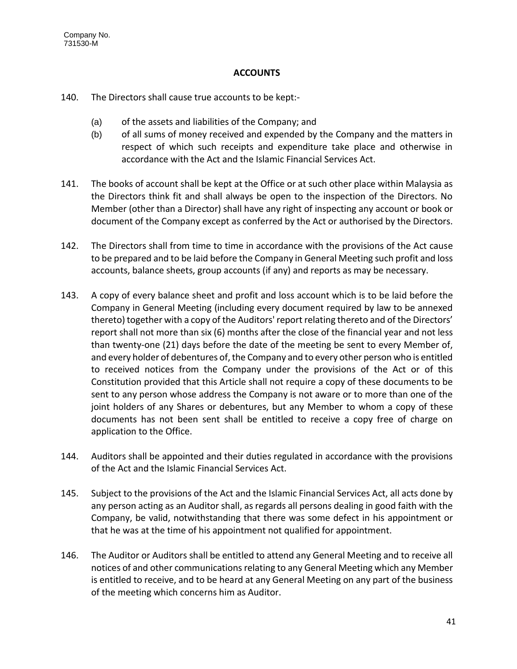# **ACCOUNTS**

- 140. The Directors shall cause true accounts to be kept:-
	- (a) of the assets and liabilities of the Company; and
	- (b) of all sums of money received and expended by the Company and the matters in respect of which such receipts and expenditure take place and otherwise in accordance with the Act and the Islamic Financial Services Act.
- 141. The books of account shall be kept at the Office or at such other place within Malaysia as the Directors think fit and shall always be open to the inspection of the Directors. No Member (other than a Director) shall have any right of inspecting any account or book or document of the Company except as conferred by the Act or authorised by the Directors.
- 142. The Directors shall from time to time in accordance with the provisions of the Act cause to be prepared and to be laid before the Company in General Meeting such profit and loss accounts, balance sheets, group accounts (if any) and reports as may be necessary.
- 143. A copy of every balance sheet and profit and loss account which is to be laid before the Company in General Meeting (including every document required by law to be annexed thereto) together with a copy of the Auditors' report relating thereto and of the Directors' report shall not more than six (6) months after the close of the financial year and not less than twenty-one (21) days before the date of the meeting be sent to every Member of, and every holder of debentures of, the Company and to every other person who is entitled to received notices from the Company under the provisions of the Act or of this Constitution provided that this Article shall not require a copy of these documents to be sent to any person whose address the Company is not aware or to more than one of the joint holders of any Shares or debentures, but any Member to whom a copy of these documents has not been sent shall be entitled to receive a copy free of charge on application to the Office.
- 144. Auditors shall be appointed and their duties regulated in accordance with the provisions of the Act and the Islamic Financial Services Act.
- 145. Subject to the provisions of the Act and the Islamic Financial Services Act, all acts done by any person acting as an Auditor shall, as regards all persons dealing in good faith with the Company, be valid, notwithstanding that there was some defect in his appointment or that he was at the time of his appointment not qualified for appointment.
- 146. The Auditor or Auditors shall be entitled to attend any General Meeting and to receive all notices of and other communications relating to any General Meeting which any Member is entitled to receive, and to be heard at any General Meeting on any part of the business of the meeting which concerns him as Auditor.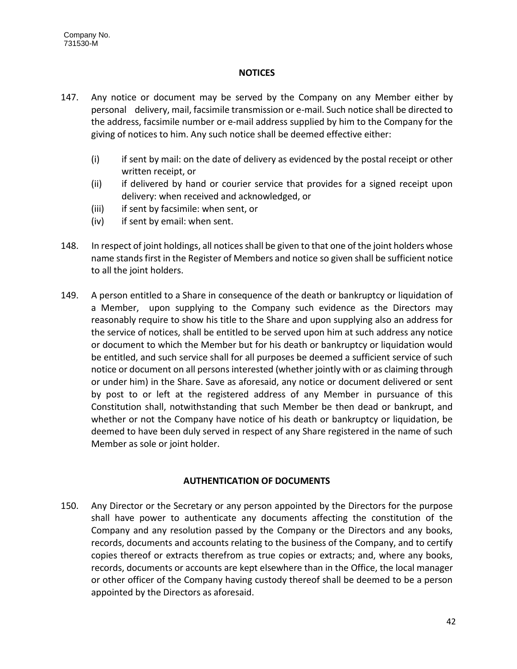# **NOTICES**

- 147. Any notice or document may be served by the Company on any Member either by personal delivery, mail, facsimile transmission or e-mail. Such notice shall be directed to the address, facsimile number or e-mail address supplied by him to the Company for the giving of notices to him. Any such notice shall be deemed effective either:
	- (i) if sent by mail: on the date of delivery as evidenced by the postal receipt or other written receipt, or
	- (ii) if delivered by hand or courier service that provides for a signed receipt upon delivery: when received and acknowledged, or
	- (iii) if sent by facsimile: when sent, or
	- (iv) if sent by email: when sent.
- 148. In respect of joint holdings, all notices shall be given to that one of the joint holders whose name stands first in the Register of Members and notice so given shall be sufficient notice to all the joint holders.
- 149. A person entitled to a Share in consequence of the death or bankruptcy or liquidation of a Member, upon supplying to the Company such evidence as the Directors may reasonably require to show his title to the Share and upon supplying also an address for the service of notices, shall be entitled to be served upon him at such address any notice or document to which the Member but for his death or bankruptcy or liquidation would be entitled, and such service shall for all purposes be deemed a sufficient service of such notice or document on all persons interested (whether jointly with or as claiming through or under him) in the Share. Save as aforesaid, any notice or document delivered or sent by post to or left at the registered address of any Member in pursuance of this Constitution shall, notwithstanding that such Member be then dead or bankrupt, and whether or not the Company have notice of his death or bankruptcy or liquidation, be deemed to have been duly served in respect of any Share registered in the name of such Member as sole or joint holder.

# **AUTHENTICATION OF DOCUMENTS**

150. Any Director or the Secretary or any person appointed by the Directors for the purpose shall have power to authenticate any documents affecting the constitution of the Company and any resolution passed by the Company or the Directors and any books, records, documents and accounts relating to the business of the Company, and to certify copies thereof or extracts therefrom as true copies or extracts; and, where any books, records, documents or accounts are kept elsewhere than in the Office, the local manager or other officer of the Company having custody thereof shall be deemed to be a person appointed by the Directors as aforesaid.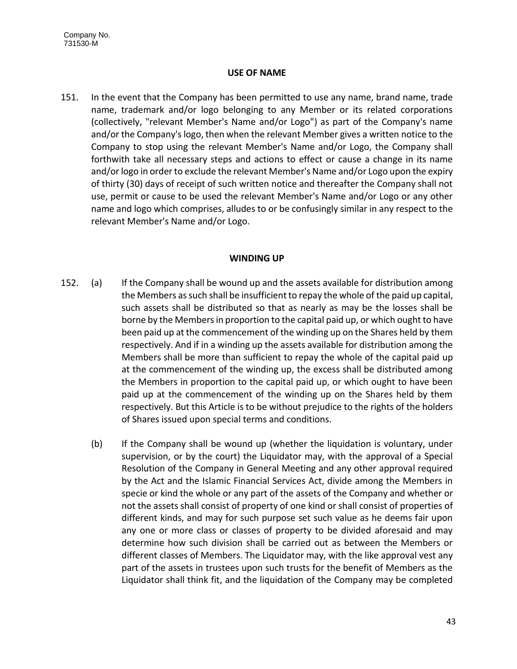## **USE OF NAME**

151. In the event that the Company has been permitted to use any name, brand name, trade name, trademark and/or logo belonging to any Member or its related corporations (collectively, "relevant Member's Name and/or Logo") as part of the Company's name and/or the Company's logo, then when the relevant Member gives a written notice to the Company to stop using the relevant Member's Name and/or Logo, the Company shall forthwith take all necessary steps and actions to effect or cause a change in its name and/or logo in order to exclude the relevant Member's Name and/or Logo upon the expiry of thirty (30) days of receipt of such written notice and thereafter the Company shall not use, permit or cause to be used the relevant Member's Name and/or Logo or any other name and logo which comprises, alludes to or be confusingly similar in any respect to the relevant Member's Name and/or Logo.

# **WINDING UP**

- 152. (a) If the Company shall be wound up and the assets available for distribution among the Members as such shall be insufficient to repay the whole of the paid up capital, such assets shall be distributed so that as nearly as may be the losses shall be borne by the Members in proportion to the capital paid up, or which ought to have been paid up at the commencement of the winding up on the Shares held by them respectively. And if in a winding up the assets available for distribution among the Members shall be more than sufficient to repay the whole of the capital paid up at the commencement of the winding up, the excess shall be distributed among the Members in proportion to the capital paid up, or which ought to have been paid up at the commencement of the winding up on the Shares held by them respectively. But this Article is to be without prejudice to the rights of the holders of Shares issued upon special terms and conditions.
	- (b) If the Company shall be wound up (whether the liquidation is voluntary, under supervision, or by the court) the Liquidator may, with the approval of a Special Resolution of the Company in General Meeting and any other approval required by the Act and the Islamic Financial Services Act, divide among the Members in specie or kind the whole or any part of the assets of the Company and whether or not the assets shall consist of property of one kind or shall consist of properties of different kinds, and may for such purpose set such value as he deems fair upon any one or more class or classes of property to be divided aforesaid and may determine how such division shall be carried out as between the Members or different classes of Members. The Liquidator may, with the like approval vest any part of the assets in trustees upon such trusts for the benefit of Members as the Liquidator shall think fit, and the liquidation of the Company may be completed